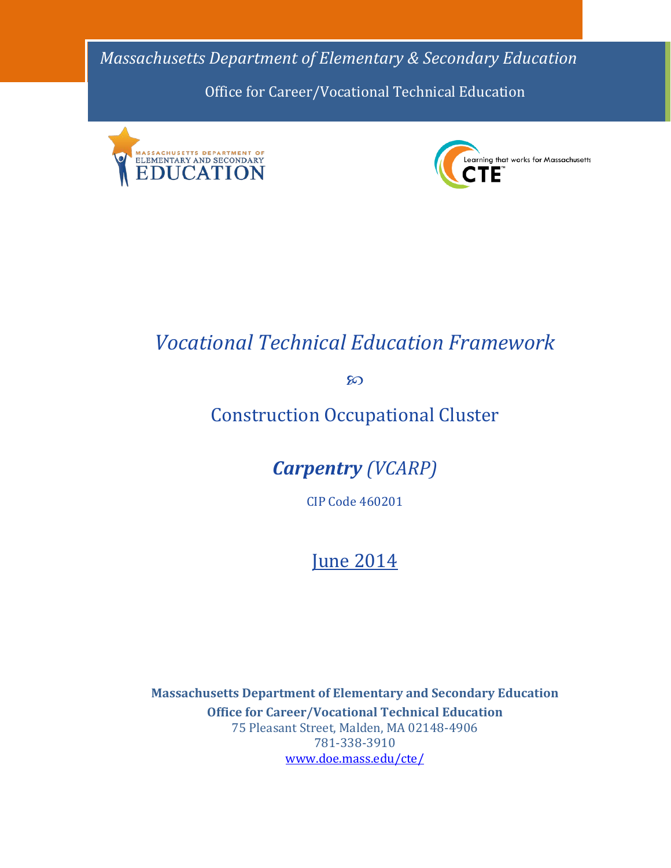*Massachusetts Department of Elementary & Secondary Education* Office for Career/Vocational Technical Education





# *Vocational Technical Education Framework*

**80** 

# Construction Occupational Cluster

*Carpentry (VCARP)*

CIP Code 460201

# **June 2014**

**Massachusetts Department of Elementary and Secondary Education Office for Career/Vocational Technical Education** 75 Pleasant Street, Malden, MA 02148-4906 781-338-3910 [www.doe.mass.edu/cte/](http://www.doe.mass.edu/cte/)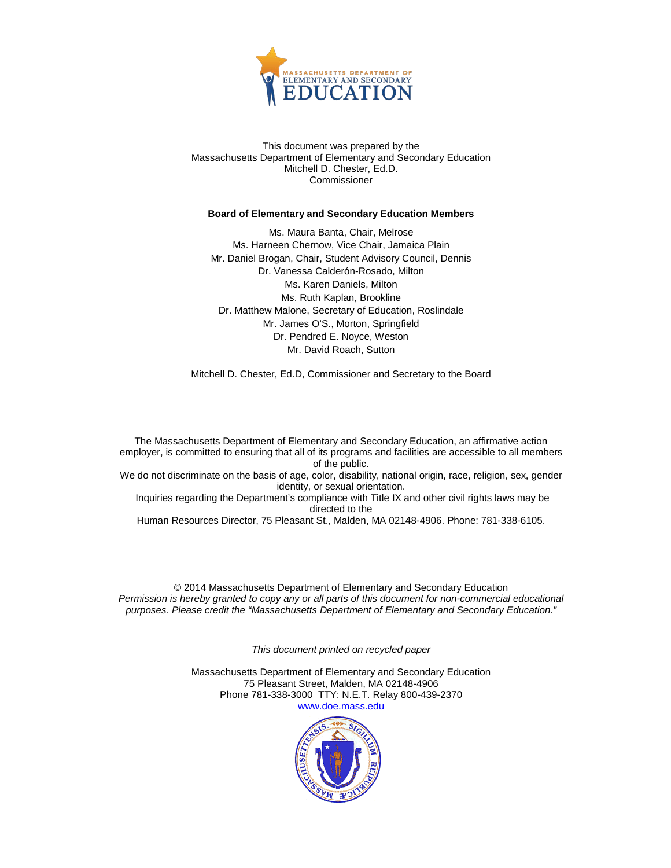

This document was prepared by the Massachusetts Department of Elementary and Secondary Education Mitchell D. Chester, Ed.D. Commissioner

#### **Board of Elementary and Secondary Education Members**

Ms. Maura Banta, Chair, Melrose Ms. Harneen Chernow, Vice Chair, Jamaica Plain Mr. Daniel Brogan, Chair, Student Advisory Council, Dennis Dr. Vanessa Calderón-Rosado, Milton Ms. Karen Daniels, Milton Ms. Ruth Kaplan, Brookline Dr. Matthew Malone, Secretary of Education, Roslindale Mr. James O'S., Morton, Springfield Dr. Pendred E. Noyce, Weston Mr. David Roach, Sutton

Mitchell D. Chester, Ed.D, Commissioner and Secretary to the Board

The Massachusetts Department of Elementary and Secondary Education, an affirmative action employer, is committed to ensuring that all of its programs and facilities are accessible to all members of the public. We do not discriminate on the basis of age, color, disability, national origin, race, religion, sex, gender identity, or sexual orientation. Inquiries regarding the Department's compliance with Title IX and other civil rights laws may be directed to the

Human Resources Director, 75 Pleasant St., Malden, MA 02148-4906. Phone: 781-338-6105.

© 2014 Massachusetts Department of Elementary and Secondary Education *Permission is hereby granted to copy any or all parts of this document for non-commercial educational purposes. Please credit the "Massachusetts Department of Elementary and Secondary Education."*

*This document printed on recycled paper*

Massachusetts Department of Elementary and Secondary Education 75 Pleasant Street, Malden, MA 02148-4906 Phone 781-338-3000 TTY: N.E.T. Relay 800-439-2370 [www.doe.mass.edu](http://www.doe.mass.edu/)

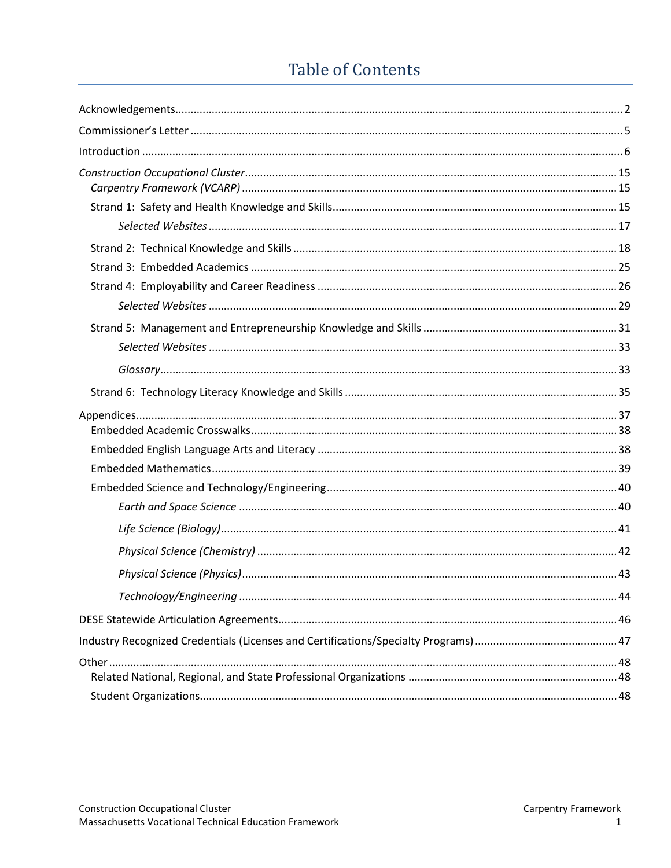# **Table of Contents**

<span id="page-2-0"></span>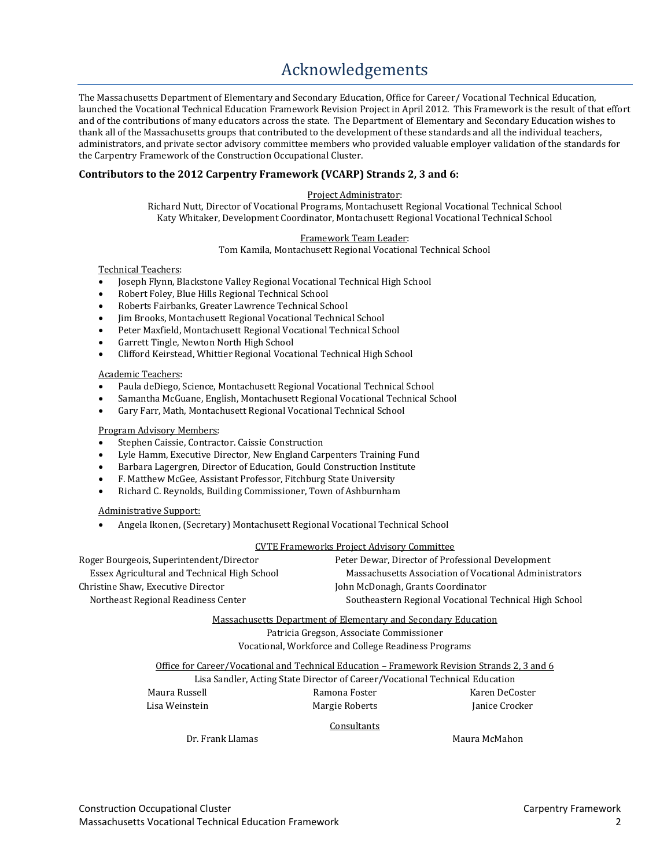# [Acknowledgements](#page-2-0)

<span id="page-3-0"></span>The Massachusetts Department of Elementary and Secondary Education, Office for Career/ Vocational Technical Education, launched the Vocational Technical Education Framework Revision Project in April 2012. This Framework is the result of that effort and of the contributions of many educators across the state. The Department of Elementary and Secondary Education wishes to thank all of the Massachusetts groups that contributed to the development of these standards and all the individual teachers, administrators, and private sector advisory committee members who provided valuable employer validation of the standards for the Carpentry Framework of the Construction Occupational Cluster.

#### **Contributors to the 2012 Carpentry Framework (VCARP) Strands 2, 3 and 6:**

#### Project Administrator:

Richard Nutt, Director of Vocational Programs, Montachusett Regional Vocational Technical School Katy Whitaker, Development Coordinator, Montachusett Regional Vocational Technical School

#### Framework Team Leader:

Tom Kamila, Montachusett Regional Vocational Technical School

#### Technical Teachers:

- Joseph Flynn, Blackstone Valley Regional Vocational Technical High School
- Robert Foley, Blue Hills Regional Technical School<br>• Roberts Fairbanks, Greater Lawrence Technical Sci
- Roberts Fairbanks, Greater Lawrence Technical School
- Jim Brooks, Montachusett Regional Vocational Technical School
- Peter Maxfield, Montachusett Regional Vocational Technical School
- Garrett Tingle, Newton North High School<br>Clifford Keirstead, Whittier Begional Vocat
- Clifford Keirstead, Whittier Regional Vocational Technical High School

#### Academic Teachers:

- Paula deDiego, Science, Montachusett Regional Vocational Technical School
- Samantha McGuane, English, Montachusett Regional Vocational Technical School
- Gary Farr, Math, Montachusett Regional Vocational Technical School

#### Program Advisory Members:

- Stephen Caissie, Contractor. Caissie Construction
- Lyle Hamm, Executive Director, New England Carpenters Training Fund
- Barbara Lagergren, Director of Education, Gould Construction Institute
- F. Matthew McGee, Assistant Professor, Fitchburg State University
- Richard C. Reynolds, Building Commissioner, Town of Ashburnham

#### Administrative Support:

• Angela Ikonen, (Secretary) Montachusett Regional Vocational Technical School

CVTE Frameworks Project Advisory Committee<br>Roger Bourgeois, Superintendent/Director Peter Dewar, Director of Prof ger Bourgeois, Superintendent/Director Peter Dewar, Director of Professional Development<br>Essex Agricultural and Technical High School Massachusetts Association of Vocational Adminis Essex Agricultural and Technical High School Massachusetts Association of Vocational Administrators John McDonagh, Grants Coordinator Northeast Regional Readiness Center Southeastern Regional Vocational Technical High School

#### Massachusetts Department of Elementary and Secondary Education

Patricia Gregson, Associate Commissioner

Vocational, Workforce and College Readiness Programs

Office for Career/Vocational and Technical Education – Framework Revision Strands 2, 3 and 6

Lisa Sandler, Acting State Director of Career/Vocational Technical Education Maura Russell Ramona Foster Karen DeCoster

Margie Roberts

**Consultants** 

Dr. Frank Llamas Maura McMahon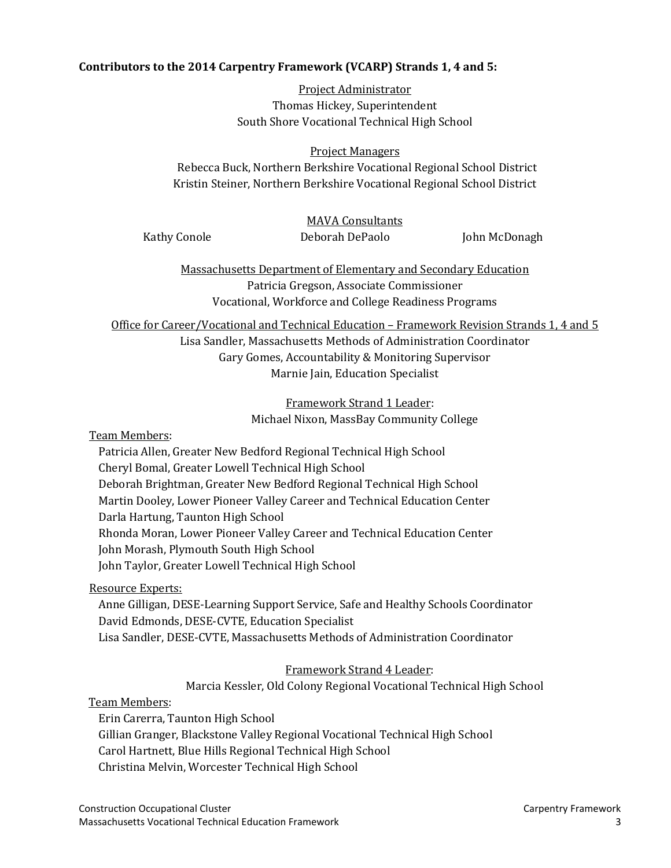#### **Contributors to the 2014 Carpentry Framework (VCARP) Strands 1, 4 and 5:**

Project Administrator Thomas Hickey, Superintendent South Shore Vocational Technical High School

#### Project Managers

Rebecca Buck, Northern Berkshire Vocational Regional School District Kristin Steiner, Northern Berkshire Vocational Regional School District

#### MAVA Consultants

Kathy Conole **Deborah DePaolo** John McDonagh

Massachusetts Department of Elementary and Secondary Education Patricia Gregson, Associate Commissioner Vocational, Workforce and College Readiness Programs

Office for Career/Vocational and Technical Education – Framework Revision Strands 1, 4 and 5

Lisa Sandler, Massachusetts Methods of Administration Coordinator Gary Gomes, Accountability & Monitoring Supervisor Marnie Jain, Education Specialist

> Framework Strand 1 Leader: Michael Nixon, MassBay Community College

Team Members:

Patricia Allen, Greater New Bedford Regional Technical High School Cheryl Bomal, Greater Lowell Technical High School Deborah Brightman, Greater New Bedford Regional Technical High School Martin Dooley, Lower Pioneer Valley Career and Technical Education Center Darla Hartung, Taunton High School Rhonda Moran, Lower Pioneer Valley Career and Technical Education Center John Morash, Plymouth South High School John Taylor, Greater Lowell Technical High School

Resource Experts:

Anne Gilligan, DESE-Learning Support Service, Safe and Healthy Schools Coordinator David Edmonds, DESE-CVTE, Education Specialist Lisa Sandler, DESE-CVTE, Massachusetts Methods of Administration Coordinator

Framework Strand 4 Leader:

Marcia Kessler, Old Colony Regional Vocational Technical High School

Team Members:

Erin Carerra, Taunton High School Gillian Granger, Blackstone Valley Regional Vocational Technical High School Carol Hartnett, Blue Hills Regional Technical High School Christina Melvin, Worcester Technical High School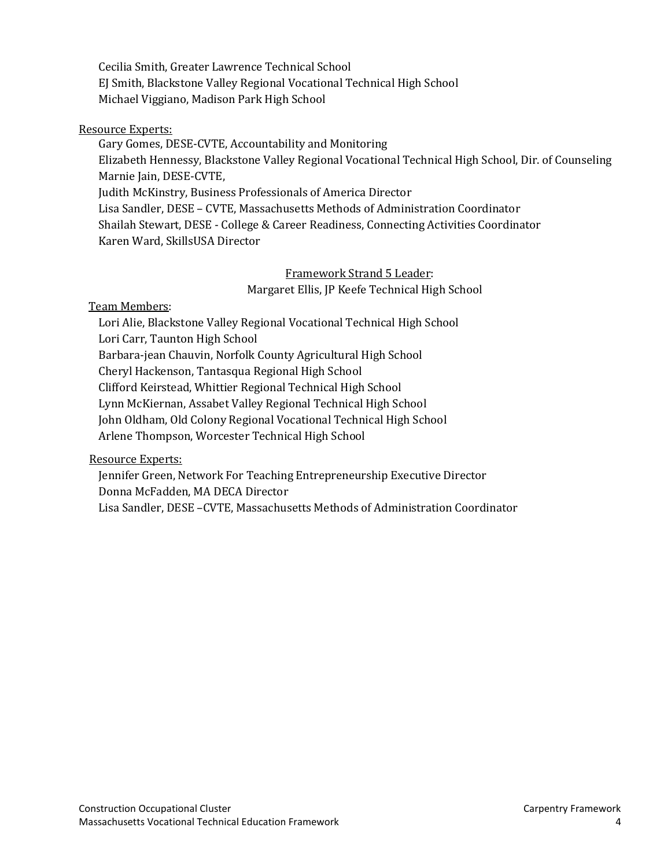Cecilia Smith, Greater Lawrence Technical School EJ Smith, Blackstone Valley Regional Vocational Technical High School Michael Viggiano, Madison Park High School

#### Resource Experts:

Gary Gomes, DESE-CVTE, Accountability and Monitoring Elizabeth Hennessy, Blackstone Valley Regional Vocational Technical High School, Dir. of Counseling Marnie Jain, DESE-CVTE, Judith McKinstry, Business Professionals of America Director Lisa Sandler, DESE – CVTE, Massachusetts Methods of Administration Coordinator Shailah Stewart, DESE - College & Career Readiness, Connecting Activities Coordinator Karen Ward, SkillsUSA Director

> Framework Strand 5 Leader: Margaret Ellis, JP Keefe Technical High School

#### Team Members:

Lori Alie, Blackstone Valley Regional Vocational Technical High School Lori Carr, Taunton High School Barbara-jean Chauvin, Norfolk County Agricultural High School Cheryl Hackenson, Tantasqua Regional High School Clifford Keirstead, Whittier Regional Technical High School Lynn McKiernan, Assabet Valley Regional Technical High School John Oldham, Old Colony Regional Vocational Technical High School Arlene Thompson, Worcester Technical High School

Resource Experts:

Jennifer Green, Network For Teaching Entrepreneurship Executive Director Donna McFadden, MA DECA Director

Lisa Sandler, DESE –CVTE, Massachusetts Methods of Administration Coordinator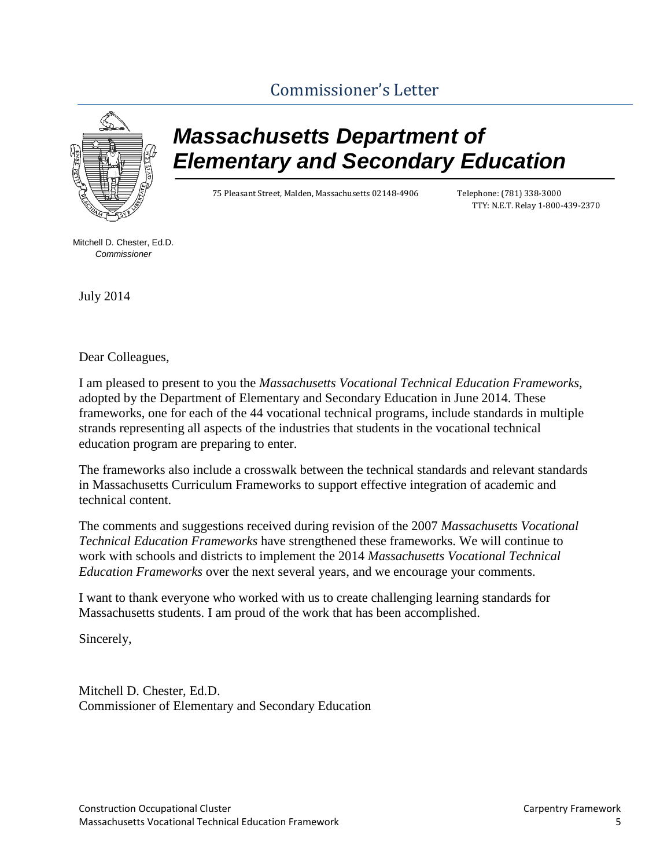# [Commissioner's Letter](#page-2-0)

<span id="page-6-0"></span>

# *Massachusetts Department of Elementary and Secondary Education*

75 Pleasant Street, Malden, Massachusetts 02148-4906 Telephone: (781) 338-3000

TTY: N.E.T. Relay 1-800-439-2370

Mitchell D. Chester, Ed.D. *Commissioner*

July 2014

Dear Colleagues,

I am pleased to present to you the *Massachusetts Vocational Technical Education Frameworks,*  adopted by the Department of Elementary and Secondary Education in June 2014. These frameworks, one for each of the 44 vocational technical programs, include standards in multiple strands representing all aspects of the industries that students in the vocational technical education program are preparing to enter.

The frameworks also include a crosswalk between the technical standards and relevant standards in Massachusetts Curriculum Frameworks to support effective integration of academic and technical content.

The comments and suggestions received during revision of the 2007 *Massachusetts Vocational Technical Education Frameworks* have strengthened these frameworks. We will continue to work with schools and districts to implement the 2014 *Massachusetts Vocational Technical Education Frameworks* over the next several years, and we encourage your comments.

I want to thank everyone who worked with us to create challenging learning standards for Massachusetts students. I am proud of the work that has been accomplished.

Sincerely,

Mitchell D. Chester, Ed.D. Commissioner of Elementary and Secondary Education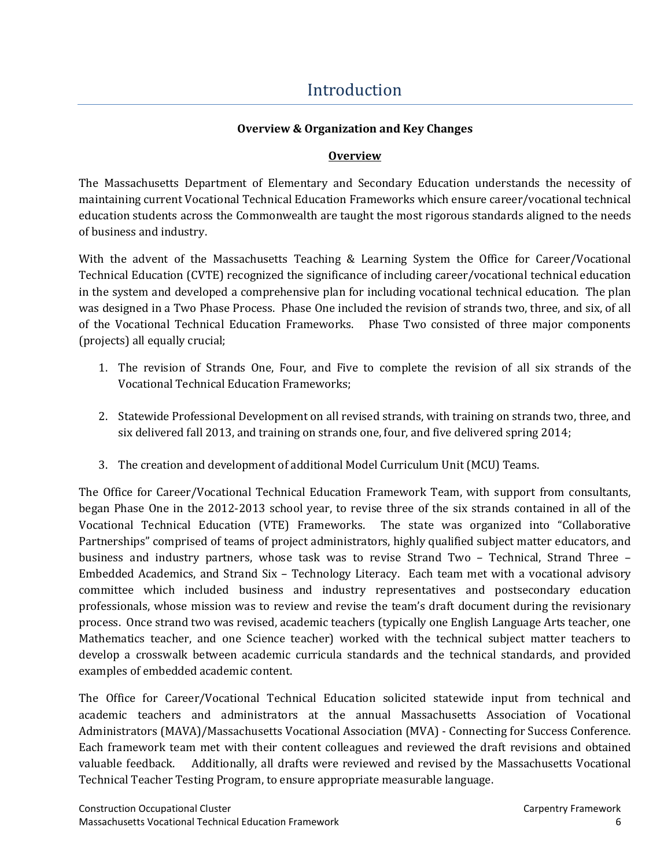# [Introduction](#page-2-0)

#### **Overview & Organization and Key Changes**

#### **Overview**

<span id="page-7-0"></span>The Massachusetts Department of Elementary and Secondary Education understands the necessity of maintaining current Vocational Technical Education Frameworks which ensure career/vocational technical education students across the Commonwealth are taught the most rigorous standards aligned to the needs of business and industry.

With the advent of the Massachusetts Teaching & Learning System the Office for Career/Vocational Technical Education (CVTE) recognized the significance of including career/vocational technical education in the system and developed a comprehensive plan for including vocational technical education. The plan was designed in a Two Phase Process. Phase One included the revision of strands two, three, and six, of all of the Vocational Technical Education Frameworks. Phase Two consisted of three major components (projects) all equally crucial;

- 1. The revision of Strands One, Four, and Five to complete the revision of all six strands of the Vocational Technical Education Frameworks;
- 2. Statewide Professional Development on all revised strands, with training on strands two, three, and six delivered fall 2013, and training on strands one, four, and five delivered spring 2014;
- 3. The creation and development of additional Model Curriculum Unit (MCU) Teams.

The Office for Career/Vocational Technical Education Framework Team, with support from consultants, began Phase One in the 2012-2013 school year, to revise three of the six strands contained in all of the Vocational Technical Education (VTE) Frameworks. The state was organized into "Collaborative Partnerships" comprised of teams of project administrators, highly qualified subject matter educators, and business and industry partners, whose task was to revise Strand Two – Technical, Strand Three – Embedded Academics, and Strand Six – Technology Literacy. Each team met with a vocational advisory committee which included business and industry representatives and postsecondary education professionals, whose mission was to review and revise the team's draft document during the revisionary process. Once strand two was revised, academic teachers (typically one English Language Arts teacher, one Mathematics teacher, and one Science teacher) worked with the technical subject matter teachers to develop a crosswalk between academic curricula standards and the technical standards, and provided examples of embedded academic content.

The Office for Career/Vocational Technical Education solicited statewide input from technical and academic teachers and administrators at the annual Massachusetts Association of Vocational Administrators (MAVA)/Massachusetts Vocational Association (MVA) - Connecting for Success Conference. Each framework team met with their content colleagues and reviewed the draft revisions and obtained valuable feedback. Additionally, all drafts were reviewed and revised by the Massachusetts Vocational Technical Teacher Testing Program, to ensure appropriate measurable language.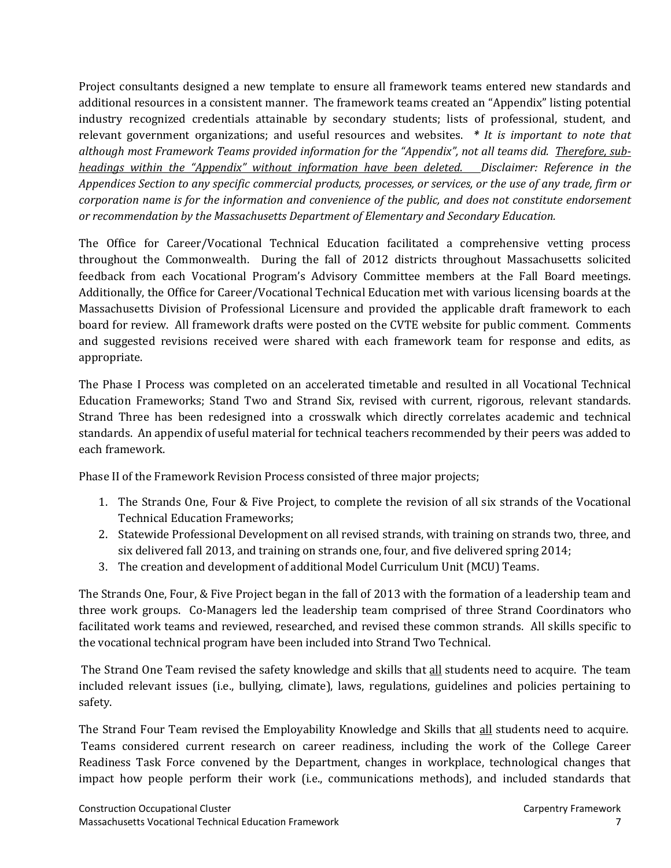Project consultants designed a new template to ensure all framework teams entered new standards and additional resources in a consistent manner. The framework teams created an "Appendix" listing potential industry recognized credentials attainable by secondary students; lists of professional, student, and relevant government organizations; and useful resources and websites. *\* It is important to note that although most Framework Teams provided information for the "Appendix", not all teams did. Therefore, subheadings within the "Appendix" without information have been deleted. Disclaimer: Reference in the Appendices Section to any specific commercial products, processes, or services, or the use of any trade, firm or corporation name is for the information and convenience of the public, and does not constitute endorsement or recommendation by the Massachusetts Department of Elementary and Secondary Education.* 

The Office for Career/Vocational Technical Education facilitated a comprehensive vetting process throughout the Commonwealth. During the fall of 2012 districts throughout Massachusetts solicited feedback from each Vocational Program's Advisory Committee members at the Fall Board meetings. Additionally, the Office for Career/Vocational Technical Education met with various licensing boards at the Massachusetts Division of Professional Licensure and provided the applicable draft framework to each board for review. All framework drafts were posted on the CVTE website for public comment. Comments and suggested revisions received were shared with each framework team for response and edits, as appropriate.

The Phase I Process was completed on an accelerated timetable and resulted in all Vocational Technical Education Frameworks; Stand Two and Strand Six, revised with current, rigorous, relevant standards. Strand Three has been redesigned into a crosswalk which directly correlates academic and technical standards. An appendix of useful material for technical teachers recommended by their peers was added to each framework.

Phase II of the Framework Revision Process consisted of three major projects;

- 1. The Strands One, Four & Five Project, to complete the revision of all six strands of the Vocational Technical Education Frameworks;
- 2. Statewide Professional Development on all revised strands, with training on strands two, three, and six delivered fall 2013, and training on strands one, four, and five delivered spring 2014;
- 3. The creation and development of additional Model Curriculum Unit (MCU) Teams.

The Strands One, Four, & Five Project began in the fall of 2013 with the formation of a leadership team and three work groups. Co-Managers led the leadership team comprised of three Strand Coordinators who facilitated work teams and reviewed, researched, and revised these common strands. All skills specific to the vocational technical program have been included into Strand Two Technical.

The Strand One Team revised the safety knowledge and skills that all students need to acquire. The team included relevant issues (i.e., bullying, climate), laws, regulations, guidelines and policies pertaining to safety.

The Strand Four Team revised the Employability Knowledge and Skills that all students need to acquire. Teams considered current research on career readiness, including the work of the College Career Readiness Task Force convened by the Department, changes in workplace, technological changes that impact how people perform their work (i.e., communications methods), and included standards that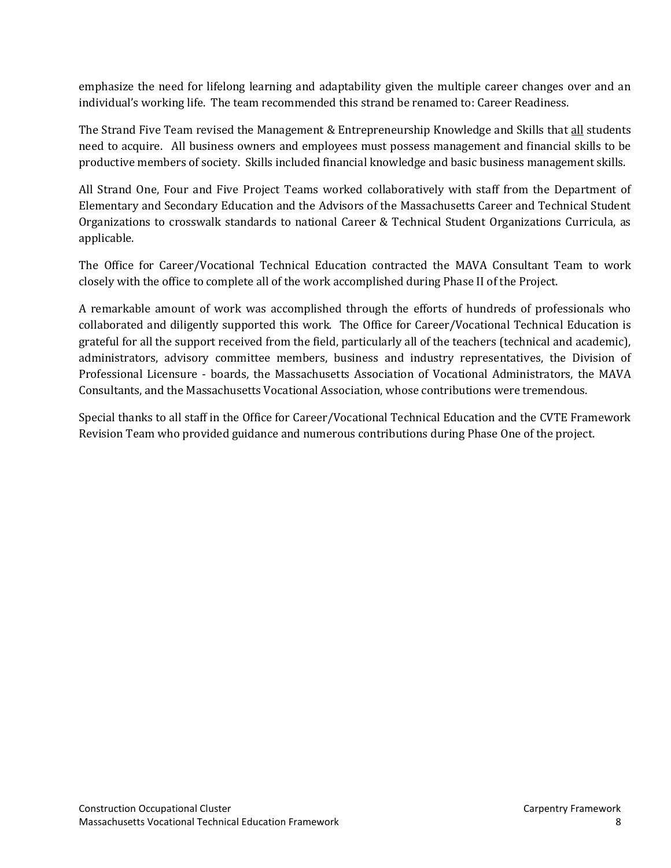emphasize the need for lifelong learning and adaptability given the multiple career changes over and an individual's working life. The team recommended this strand be renamed to: Career Readiness.

The Strand Five Team revised the Management & Entrepreneurship Knowledge and Skills that all students need to acquire. All business owners and employees must possess management and financial skills to be productive members of society. Skills included financial knowledge and basic business management skills.

All Strand One, Four and Five Project Teams worked collaboratively with staff from the Department of Elementary and Secondary Education and the Advisors of the Massachusetts Career and Technical Student Organizations to crosswalk standards to national Career & Technical Student Organizations Curricula, as applicable.

The Office for Career/Vocational Technical Education contracted the MAVA Consultant Team to work closely with the office to complete all of the work accomplished during Phase II of the Project.

A remarkable amount of work was accomplished through the efforts of hundreds of professionals who collaborated and diligently supported this work. The Office for Career/Vocational Technical Education is grateful for all the support received from the field, particularly all of the teachers (technical and academic), administrators, advisory committee members, business and industry representatives, the Division of Professional Licensure - boards, the Massachusetts Association of Vocational Administrators, the MAVA Consultants, and the Massachusetts Vocational Association, whose contributions were tremendous.

Special thanks to all staff in the Office for Career/Vocational Technical Education and the CVTE Framework Revision Team who provided guidance and numerous contributions during Phase One of the project.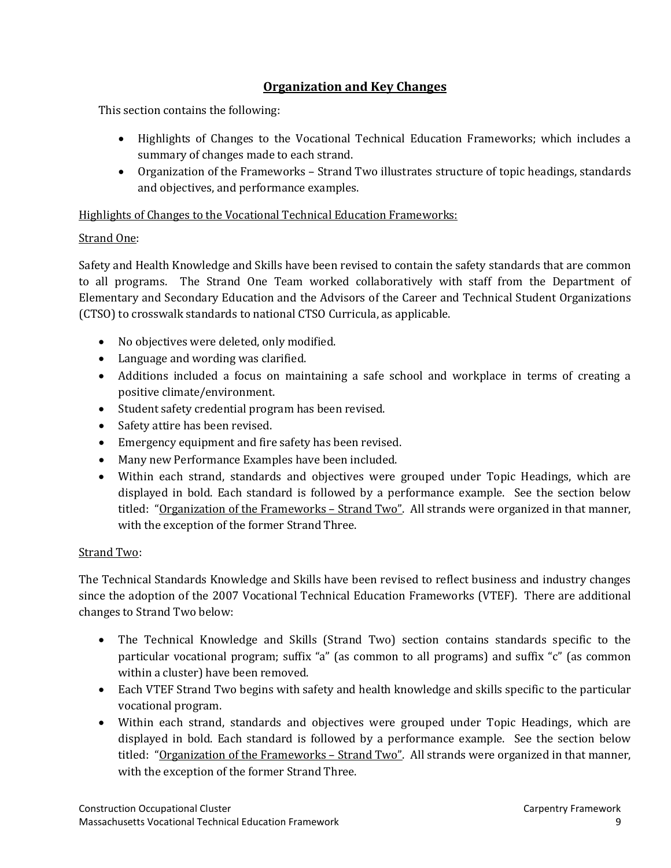#### **Organization and Key Changes**

This section contains the following:

- Highlights of Changes to the Vocational Technical Education Frameworks; which includes a summary of changes made to each strand.
- Organization of the Frameworks Strand Two illustrates structure of topic headings, standards and objectives, and performance examples.

Highlights of Changes to the Vocational Technical Education Frameworks:

#### Strand One:

Safety and Health Knowledge and Skills have been revised to contain the safety standards that are common to all programs. The Strand One Team worked collaboratively with staff from the Department of Elementary and Secondary Education and the Advisors of the Career and Technical Student Organizations (CTSO) to crosswalk standards to national CTSO Curricula, as applicable.

- No objectives were deleted, only modified.
- Language and wording was clarified.
- Additions included a focus on maintaining a safe school and workplace in terms of creating a positive climate/environment.
- Student safety credential program has been revised.
- Safety attire has been revised.
- Emergency equipment and fire safety has been revised.
- Many new Performance Examples have been included.
- Within each strand, standards and objectives were grouped under Topic Headings, which are displayed in bold. Each standard is followed by a performance example. See the section below titled: "Organization of the Frameworks - Strand Two". All strands were organized in that manner, with the exception of the former Strand Three.

#### Strand Two:

The Technical Standards Knowledge and Skills have been revised to reflect business and industry changes since the adoption of the 2007 Vocational Technical Education Frameworks (VTEF). There are additional changes to Strand Two below:

- The Technical Knowledge and Skills (Strand Two) section contains standards specific to the particular vocational program; suffix "a" (as common to all programs) and suffix "c" (as common within a cluster) have been removed.
- Each VTEF Strand Two begins with safety and health knowledge and skills specific to the particular vocational program.
- Within each strand, standards and objectives were grouped under Topic Headings, which are displayed in bold. Each standard is followed by a performance example. See the section below titled: "Organization of the Frameworks – Strand Two". All strands were organized in that manner, with the exception of the former Strand Three.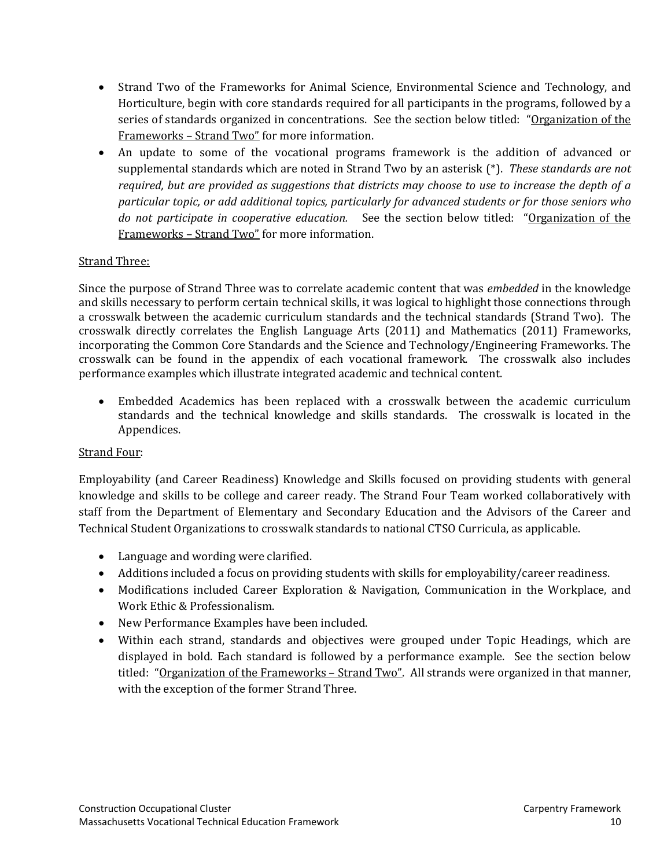- Strand Two of the Frameworks for Animal Science, Environmental Science and Technology, and Horticulture, begin with core standards required for all participants in the programs, followed by a series of standards organized in concentrations. See the section below titled: "Organization of the Frameworks – Strand Two" for more information.
- An update to some of the vocational programs framework is the addition of advanced or supplemental standards which are noted in Strand Two by an asterisk (\*). *These standards are not required, but are provided as suggestions that districts may choose to use to increase the depth of a particular topic, or add additional topics, particularly for advanced students or for those seniors who do not participate in cooperative education.* See the section below titled: "Organization of the Frameworks – Strand Two" for more information.

#### Strand Three:

Since the purpose of Strand Three was to correlate academic content that was *embedded* in the knowledge and skills necessary to perform certain technical skills, it was logical to highlight those connections through a crosswalk between the academic curriculum standards and the technical standards (Strand Two). The crosswalk directly correlates the English Language Arts (2011) and Mathematics (2011) Frameworks, incorporating the Common Core Standards and the Science and Technology/Engineering Frameworks. The crosswalk can be found in the appendix of each vocational framework. The crosswalk also includes performance examples which illustrate integrated academic and technical content.

• Embedded Academics has been replaced with a crosswalk between the academic curriculum standards and the technical knowledge and skills standards. The crosswalk is located in the Appendices.

#### Strand Four:

Employability (and Career Readiness) Knowledge and Skills focused on providing students with general knowledge and skills to be college and career ready. The Strand Four Team worked collaboratively with staff from the Department of Elementary and Secondary Education and the Advisors of the Career and Technical Student Organizations to crosswalk standards to national CTSO Curricula, as applicable.

- Language and wording were clarified.
- Additions included a focus on providing students with skills for employability/career readiness.
- Modifications included Career Exploration & Navigation, Communication in the Workplace, and Work Ethic & Professionalism.
- New Performance Examples have been included.
- Within each strand, standards and objectives were grouped under Topic Headings, which are displayed in bold. Each standard is followed by a performance example. See the section below titled: "Organization of the Frameworks - Strand Two". All strands were organized in that manner, with the exception of the former Strand Three.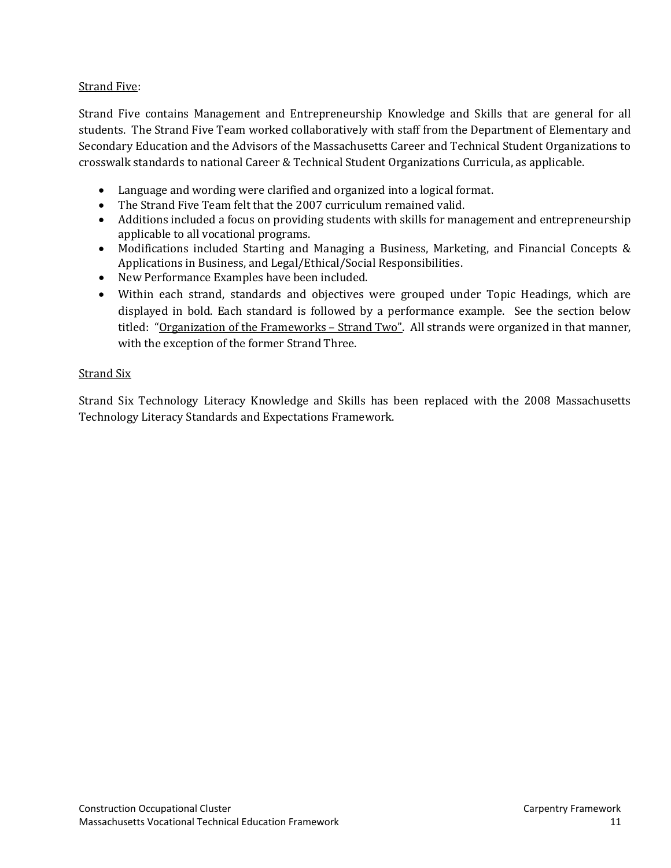#### Strand Five:

Strand Five contains Management and Entrepreneurship Knowledge and Skills that are general for all students. The Strand Five Team worked collaboratively with staff from the Department of Elementary and Secondary Education and the Advisors of the Massachusetts Career and Technical Student Organizations to crosswalk standards to national Career & Technical Student Organizations Curricula, as applicable.

- Language and wording were clarified and organized into a logical format.
- The Strand Five Team felt that the 2007 curriculum remained valid.
- Additions included a focus on providing students with skills for management and entrepreneurship applicable to all vocational programs.
- Modifications included Starting and Managing a Business, Marketing, and Financial Concepts & Applications in Business, and Legal/Ethical/Social Responsibilities.
- New Performance Examples have been included.
- Within each strand, standards and objectives were grouped under Topic Headings, which are displayed in bold. Each standard is followed by a performance example. See the section below titled: "Organization of the Frameworks – Strand Two". All strands were organized in that manner, with the exception of the former Strand Three.

#### Strand Six

Strand Six Technology Literacy Knowledge and Skills has been replaced with the 2008 Massachusetts Technology Literacy Standards and Expectations Framework.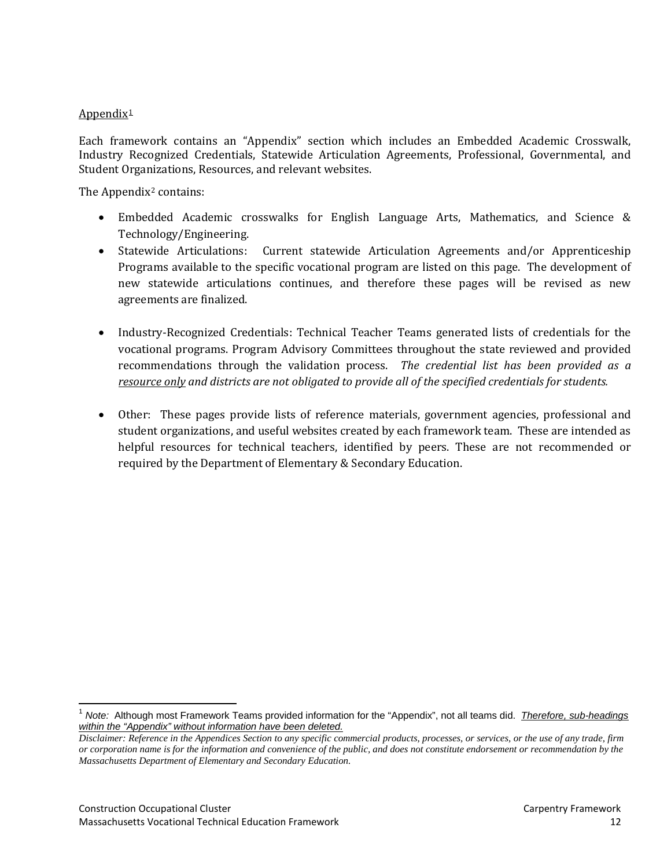#### Appendix<sup>[1](#page-13-0)</sup>

Each framework contains an "Appendix" section which includes an Embedded Academic Crosswalk, Industry Recognized Credentials, Statewide Articulation Agreements, Professional, Governmental, and Student Organizations, Resources, and relevant websites.

The Appendix<sup>[2](#page-13-1)</sup> contains:

- Embedded Academic crosswalks for English Language Arts, Mathematics, and Science & Technology/Engineering.
- Statewide Articulations: Current statewide Articulation Agreements and/or Apprenticeship Programs available to the specific vocational program are listed on this page. The development of new statewide articulations continues, and therefore these pages will be revised as new agreements are finalized.
- Industry-Recognized Credentials: Technical Teacher Teams generated lists of credentials for the vocational programs. Program Advisory Committees throughout the state reviewed and provided recommendations through the validation process. *The credential list has been provided as a resource only and districts are not obligated to provide all of the specified credentials for students.*
- Other: These pages provide lists of reference materials, government agencies, professional and student organizations, and useful websites created by each framework team. These are intended as helpful resources for technical teachers, identified by peers. These are not recommended or required by the Department of Elementary & Secondary Education.

<span id="page-13-0"></span><sup>1</sup> *Note:* Although most Framework Teams provided information for the "Appendix", not all teams did. *Therefore, sub-headings within the "Appendix" without information have been deleted.* 

<span id="page-13-1"></span>*Disclaimer: Reference in the Appendices Section to any specific commercial products, processes, or services, or the use of any trade, firm or corporation name is for the information and convenience of the public, and does not constitute endorsement or recommendation by the Massachusetts Department of Elementary and Secondary Education.*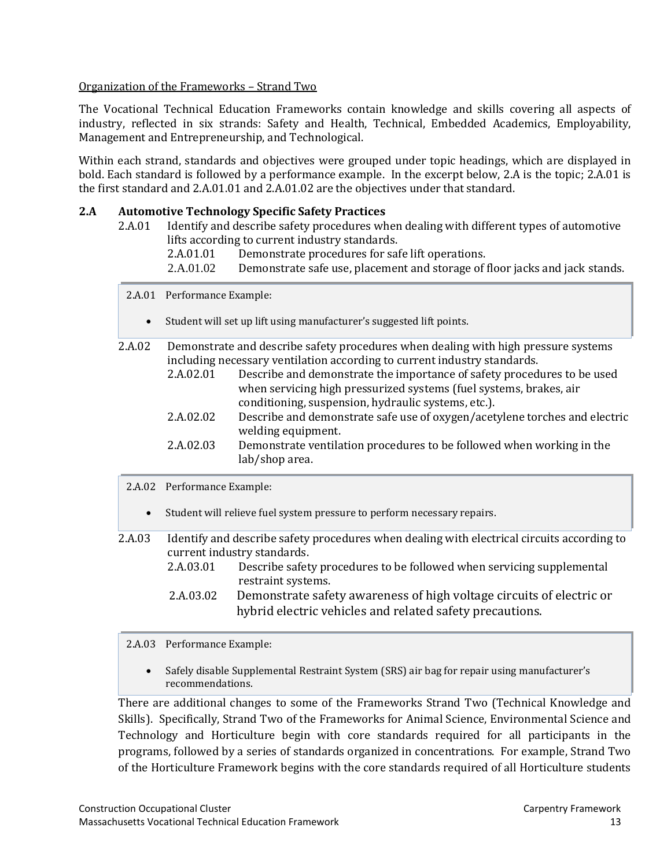#### Organization of the Frameworks – Strand Two

The Vocational Technical Education Frameworks contain knowledge and skills covering all aspects of industry, reflected in six strands: Safety and Health, Technical, Embedded Academics, Employability, Management and Entrepreneurship, and Technological.

Within each strand, standards and objectives were grouped under topic headings, which are displayed in bold. Each standard is followed by a performance example. In the excerpt below, 2.A is the topic; 2.A.01 is the first standard and 2.A.01.01 and 2.A.01.02 are the objectives under that standard.

#### **2.A Automotive Technology Specific Safety Practices**

- 2.A.01 Identify and describe safety procedures when dealing with different types of automotive lifts according to current industry standards.<br>2.A.01.01 Demonstrate procedures for saf
	- 2.A.01.01 Demonstrate procedures for safe lift operations.<br>2.A.01.02 Demonstrate safe use, placement and storage of f
	- Demonstrate safe use, placement and storage of floor jacks and jack stands.
	- 2.A.01 Performance Example:
		- Student will set up lift using manufacturer's suggested lift points.
- 2.A.02 Demonstrate and describe safety procedures when dealing with high pressure systems including necessary ventilation according to current industry standards.<br>2.A.02.01 Describe and demonstrate the importance of safety proced
	- Describe and demonstrate the importance of safety procedures to be used when servicing high pressurized systems (fuel systems, brakes, air conditioning, suspension, hydraulic systems, etc.).
	- 2.A.02.02 Describe and demonstrate safe use of oxygen/acetylene torches and electric welding equipment.
	- 2.A.02.03 Demonstrate ventilation procedures to be followed when working in the lab/shop area.
	- 2.A.02 Performance Example:
		- Student will relieve fuel system pressure to perform necessary repairs.

2.A.03 Identify and describe safety procedures when dealing with electrical circuits according to current industry standards. Describe safety procedures to be followed when servicing supplemental

- restraint systems.
- 2.A.03.02 Demonstrate safety awareness of high voltage circuits of electric or hybrid electric vehicles and related safety precautions.

#### 2.A.03 Performance Example:

• Safely disable Supplemental Restraint System (SRS) air bag for repair using manufacturer's recommendations.

There are additional changes to some of the Frameworks Strand Two (Technical Knowledge and Skills). Specifically, Strand Two of the Frameworks for Animal Science, Environmental Science and Technology and Horticulture begin with core standards required for all participants in the programs, followed by a series of standards organized in concentrations. For example, Strand Two of the Horticulture Framework begins with the core standards required of all Horticulture students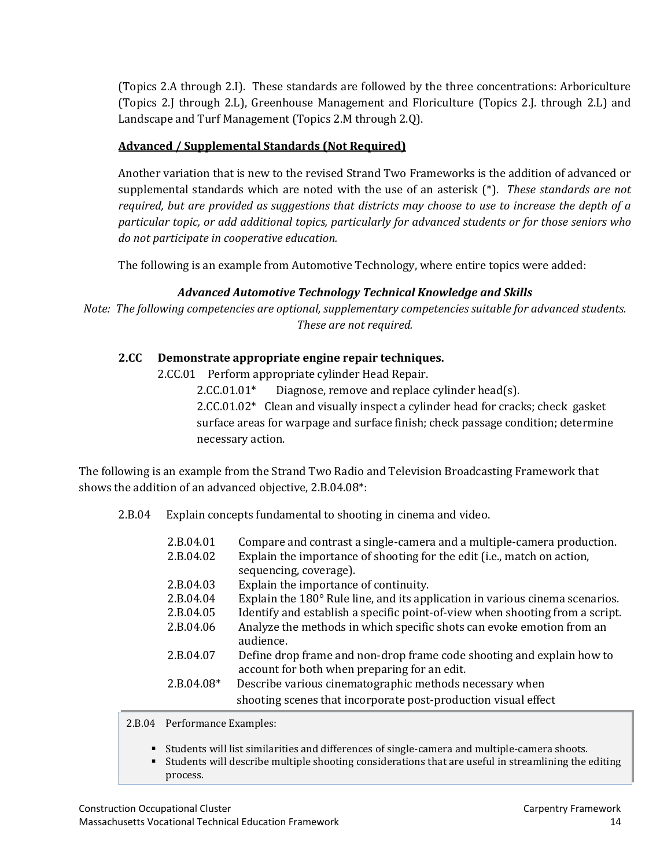(Topics 2.A through 2.I). These standards are followed by the three concentrations: Arboriculture (Topics 2.J through 2.L), Greenhouse Management and Floriculture (Topics 2.J. through 2.L) and Landscape and Turf Management (Topics 2.M through 2.Q).

#### **Advanced / Supplemental Standards (Not Required)**

Another variation that is new to the revised Strand Two Frameworks is the addition of advanced or supplemental standards which are noted with the use of an asterisk (\*). *These standards are not required, but are provided as suggestions that districts may choose to use to increase the depth of a particular topic, or add additional topics, particularly for advanced students or for those seniors who do not participate in cooperative education.* 

The following is an example from Automotive Technology, where entire topics were added:

#### *Advanced Automotive Technology Technical Knowledge and Skills*

*Note: The following competencies are optional, supplementary competencies suitable for advanced students. These are not required.*

#### **2.CC Demonstrate appropriate engine repair techniques.**

2.CC.01 Perform appropriate cylinder Head Repair.

2.CC.01.01\* Diagnose, remove and replace cylinder head(s). 2.CC.01.02\* Clean and visually inspect a cylinder head for cracks; check gasket surface areas for warpage and surface finish; check passage condition; determine necessary action.

The following is an example from the Strand Two Radio and Television Broadcasting Framework that shows the addition of an advanced objective, 2.B.04.08\*:

2.B.04 Explain concepts fundamental to shooting in cinema and video.

| 2.B.04.01    | Compare and contrast a single-camera and a multiple-camera production.       |
|--------------|------------------------------------------------------------------------------|
| 2.B.04.02    | Explain the importance of shooting for the edit (i.e., match on action,      |
|              | sequencing, coverage).                                                       |
| 2.B.04.03    | Explain the importance of continuity.                                        |
| 2.B.04.04    | Explain the 180° Rule line, and its application in various cinema scenarios. |
| 2.B.04.05    | Identify and establish a specific point-of-view when shooting from a script. |
| 2.B.04.06    | Analyze the methods in which specific shots can evoke emotion from an        |
|              | audience.                                                                    |
| 2.B.04.07    | Define drop frame and non-drop frame code shooting and explain how to        |
|              | account for both when preparing for an edit.                                 |
| $2.B.04.08*$ | Describe various cinematographic methods necessary when                      |
|              | shooting scenes that incorporate post-production visual effect               |
|              |                                                                              |

2.B.04 Performance Examples:

- Students will list similarities and differences of single-camera and multiple-camera shoots.
- Students will describe multiple shooting considerations that are useful in streamlining the editing process.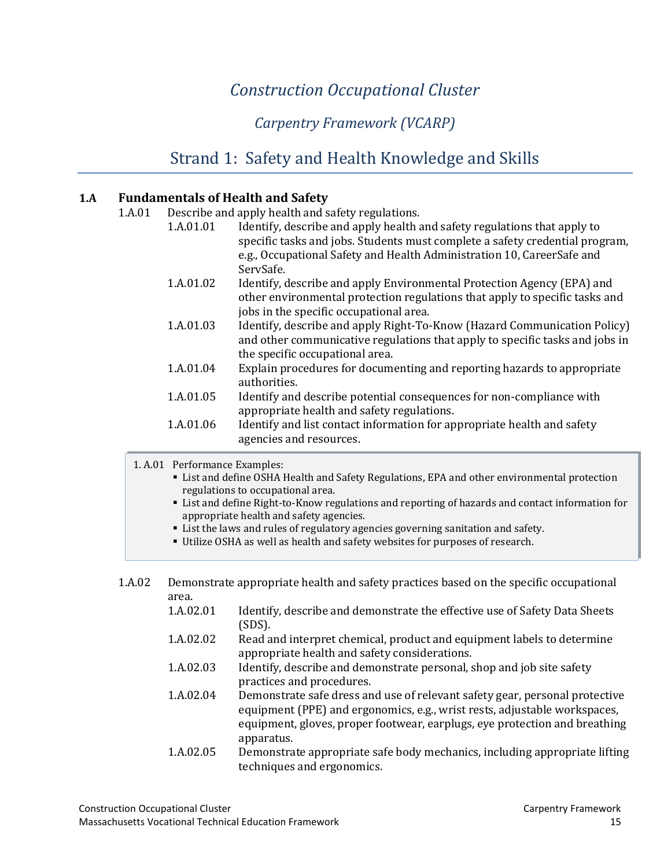# *Construction Occupational Cluster*

# *Carpentry Framework (VCARP)*

# [Strand 1: Safety and Health Knowledge and Skills](#page-2-0)

#### <span id="page-16-2"></span><span id="page-16-1"></span><span id="page-16-0"></span>**1.A Fundamentals of Health and Safety**

| 1.A.01 | Describe and apply health and safety regulations. |                                                                                                                                                                                                  |  |
|--------|---------------------------------------------------|--------------------------------------------------------------------------------------------------------------------------------------------------------------------------------------------------|--|
|        | 1.A.01.01                                         | Identify, describe and apply health and safety regulations that apply to<br>specific tasks and jobs. Students must complete a safety credential program,                                         |  |
|        |                                                   | e.g., Occupational Safety and Health Administration 10, CareerSafe and<br>ServSafe.                                                                                                              |  |
|        | 1.A.01.02                                         | Identify, describe and apply Environmental Protection Agency (EPA) and<br>other environmental protection regulations that apply to specific tasks and<br>jobs in the specific occupational area. |  |
|        | 1.A.01.03                                         | Identify, describe and apply Right-To-Know (Hazard Communication Policy)<br>and other communicative regulations that apply to specific tasks and jobs in<br>the specific occupational area.      |  |
|        | 1.A.01.04                                         | Explain procedures for documenting and reporting hazards to appropriate<br>authorities.                                                                                                          |  |
|        | 1.A.01.05                                         | Identify and describe potential consequences for non-compliance with<br>appropriate health and safety regulations.                                                                               |  |
|        | 1.A.01.06                                         | Identify and list contact information for appropriate health and safety<br>agencies and resources.                                                                                               |  |

1. A.01 Performance Examples:

- List and define OSHA Health and Safety Regulations, EPA and other environmental protection regulations to occupational area.
- List and define Right-to-Know regulations and reporting of hazards and contact information for appropriate health and safety agencies.
- List the laws and rules of regulatory agencies governing sanitation and safety.
- Utilize OSHA as well as health and safety websites for purposes of research.
- 1.A.02 Demonstrate appropriate health and safety practices based on the specific occupational area.<br>1.A.02.01
	- Identify, describe and demonstrate the effective use of Safety Data Sheets (SDS).
	- 1.A.02.02 Read and interpret chemical, product and equipment labels to determine appropriate health and safety considerations.
	- 1.A.02.03 Identify, describe and demonstrate personal, shop and job site safety practices and procedures.
	- 1.A.02.04 Demonstrate safe dress and use of relevant safety gear, personal protective equipment (PPE) and ergonomics, e.g., wrist rests, adjustable workspaces, equipment, gloves, proper footwear, earplugs, eye protection and breathing apparatus.
	- 1.A.02.05 Demonstrate appropriate safe body mechanics, including appropriate lifting techniques and ergonomics.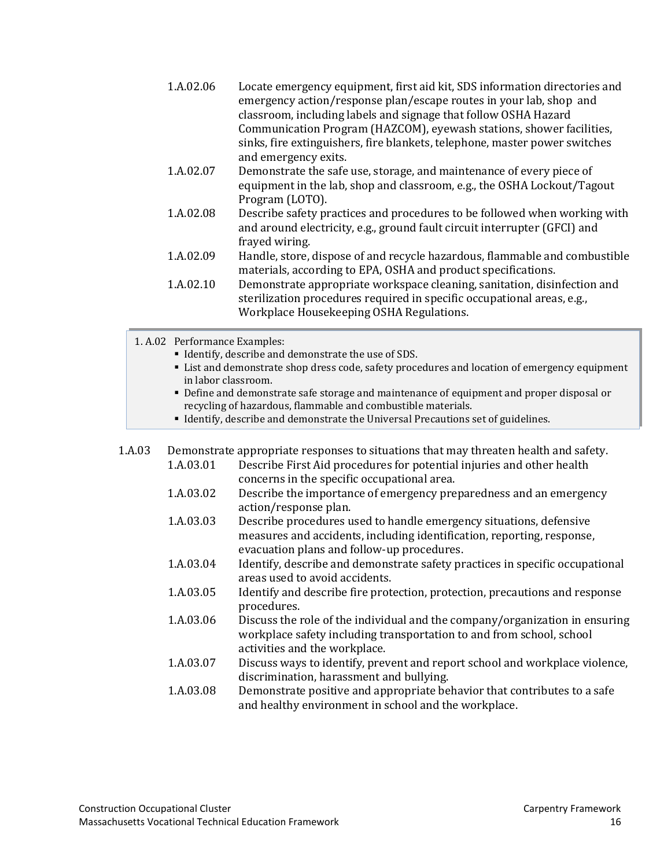| 1.A.02.06 | Locate emergency equipment, first aid kit, SDS information directories and<br>emergency action/response plan/escape routes in your lab, shop and<br>classroom, including labels and signage that follow OSHA Hazard |
|-----------|---------------------------------------------------------------------------------------------------------------------------------------------------------------------------------------------------------------------|
|           | Communication Program (HAZCOM), eyewash stations, shower facilities,                                                                                                                                                |
|           | sinks, fire extinguishers, fire blankets, telephone, master power switches                                                                                                                                          |
|           | and emergency exits.                                                                                                                                                                                                |
| 1.A.02.07 | Demonstrate the safe use, storage, and maintenance of every piece of                                                                                                                                                |
|           | equipment in the lab, shop and classroom, e.g., the OSHA Lockout/Tagout                                                                                                                                             |
|           | Program (LOTO).                                                                                                                                                                                                     |
| 1.A.02.08 | Describe safety practices and procedures to be followed when working with<br>and around electricity, e.g., ground fault circuit interrupter (GFCI) and                                                              |
|           | frayed wiring.                                                                                                                                                                                                      |
| 1.A.02.09 | Handle, store, dispose of and recycle hazardous, flammable and combustible<br>materials, according to EPA, OSHA and product specifications.                                                                         |
| 1.A.02.10 | Demonstrate appropriate workspace cleaning, sanitation, disinfection and<br>sterilization procedures required in specific occupational areas, e.g.,<br>Workplace Housekeeping OSHA Regulations.                     |
|           |                                                                                                                                                                                                                     |

1. A.02 Performance Examples:

- Identify, describe and demonstrate the use of SDS.
- List and demonstrate shop dress code, safety procedures and location of emergency equipment in labor classroom.
- Define and demonstrate safe storage and maintenance of equipment and proper disposal or recycling of hazardous, flammable and combustible materials.
- Identify, describe and demonstrate the Universal Precautions set of guidelines.

1.A.03 Demonstrate appropriate responses to situations that may threaten health and safety.<br>1.A.03.01 Describe First Aid procedures for potential injuries and other health Describe First Aid procedures for potential injuries and other health

- concerns in the specific occupational area.
- 1.A.03.02 Describe the importance of emergency preparedness and an emergency action/response plan.
- 1.A.03.03 Describe procedures used to handle emergency situations, defensive measures and accidents, including identification, reporting, response, evacuation plans and follow-up procedures.
- 1.A.03.04 Identify, describe and demonstrate safety practices in specific occupational areas used to avoid accidents.
- 1.A.03.05 Identify and describe fire protection, protection, precautions and response procedures.
- 1.A.03.06 Discuss the role of the individual and the company/organization in ensuring workplace safety including transportation to and from school, school activities and the workplace.
- 1.A.03.07 Discuss ways to identify, prevent and report school and workplace violence, discrimination, harassment and bullying.
- 1.A.03.08 Demonstrate positive and appropriate behavior that contributes to a safe and healthy environment in school and the workplace.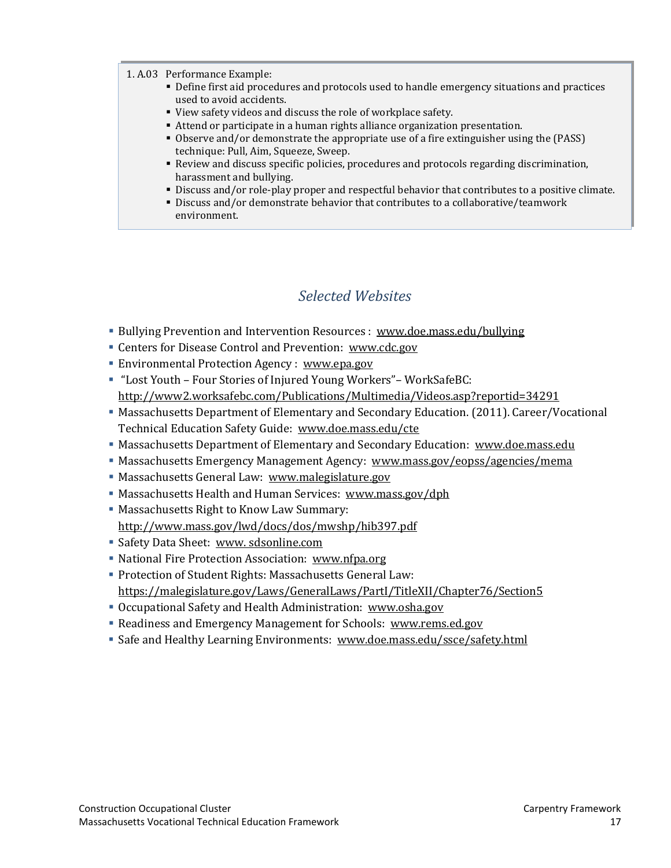#### 1. A.03 Performance Example:

- Define first aid procedures and protocols used to handle emergency situations and practices used to avoid accidents.
- View safety videos and discuss the role of workplace safety.
- Attend or participate in a human rights alliance organization presentation.
- Observe and/or demonstrate the appropriate use of a fire extinguisher using the (PASS) technique: Pull, Aim, Squeeze, Sweep.
- Review and discuss specific policies, procedures and protocols regarding discrimination, harassment and bullying.
- Discuss and/or role-play proper and respectful behavior that contributes to a positive climate.
- Discuss and/or demonstrate behavior that contributes to a collaborative/teamwork environment.

### *Selected Websites*

- <span id="page-18-0"></span>Bullying Prevention and Intervention Resources : [www.doe.mass.edu/bullying](http://www.doe.mass.edu/bullying)
- Centers for Disease Control and Prevention: [www.cdc.gov](http://www.cdc.gov/)
- Environmental Protection Agency : [www.epa.gov](http://www.epa.gov/)
- "Lost Youth Four Stories of Injured Young Workers"– WorkSafeBC: <http://www2.worksafebc.com/Publications/Multimedia/Videos.asp?reportid=34291>
- Massachusetts Department of Elementary and Secondary Education. (2011). Career/Vocational Technical Education Safety Guide: [www.doe.mass.edu/cte](http://www.doe.mass.edu/cte)
- Massachusetts Department of Elementary and Secondary Education: [www.doe.mass.edu](http://www.doe.mass.edu/)
- Massachusetts Emergency Management Agency: [www.mass.gov/eopss/agencies/mema](http://www.mass.gov/eopss/agencies/mema)
- Massachusetts General Law: [www.malegislature.gov](http://www.malegislature.gov/)
- Massachusetts Health and Human Services: [www.mass.gov/dph](http://www.mass.gov/dph)
- Massachusetts Right to Know Law Summary: <http://www.mass.gov/lwd/docs/dos/mwshp/hib397.pdf>
- **Safety Data Sheet: www.sdsonline.com**
- National Fire Protection Association: [www.nfpa.org](http://www.nfpa.org/)
- Protection of Student Rights: Massachusetts General Law: <https://malegislature.gov/Laws/GeneralLaws/PartI/TitleXII/Chapter76/Section5>
- Occupational Safety and Health Administration: [www.osha.gov](http://www.osha.gov/)
- Readiness and Emergency Management for Schools: [www.rems.ed.gov](http://www.rems.ed.gov/)
- Safe and Healthy Learning Environments: [www.doe.mass.edu/ssce/safety.html](http://www.doe.mass.edu/ssce/safety.html)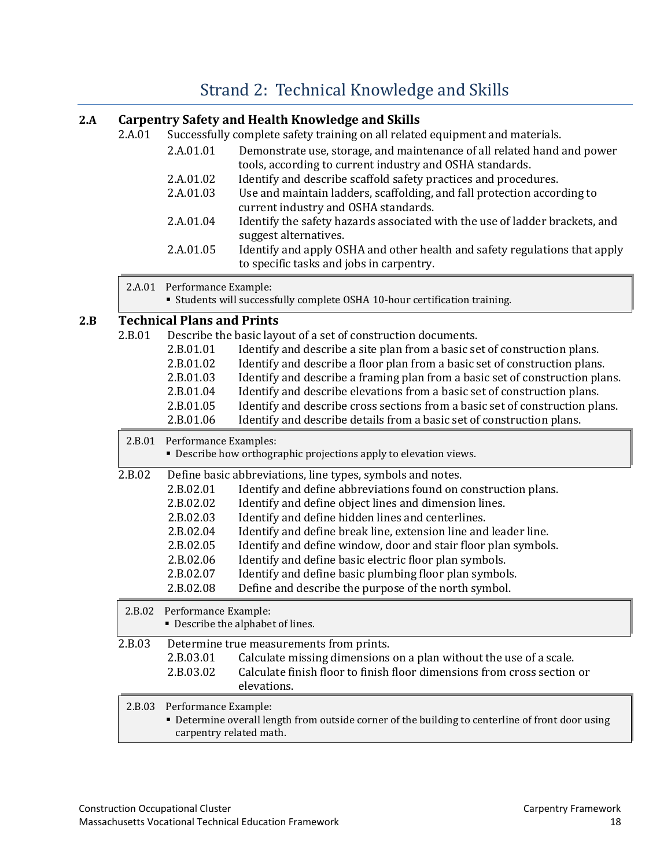# [Strand 2: Technical Knowledge and Skills](#page-2-0)

### <span id="page-19-0"></span>**2.A Carpentry Safety and Health Knowledge and Skills**

| 2.A.01 |                     | Successfully complete safety training on all related equipment and materials.                                          |
|--------|---------------------|------------------------------------------------------------------------------------------------------------------------|
|        | 2.A.01.01           | Demonstrate use, storage, and maintenance of all related hand and power                                                |
|        |                     | tools, according to current industry and OSHA standards.                                                               |
|        | 2.A.01.02           | Identify and describe scaffold safety practices and procedures.                                                        |
|        | 2.A.01.03           | Use and maintain ladders, scaffolding, and fall protection according to<br>current industry and OSHA standards.        |
|        | 2.A.01.04           | Identify the safety hazards associated with the use of ladder brackets, and<br>suggest alternatives.                   |
|        | 2.A.01.05           | Identify and apply OSHA and other health and safety regulations that apply<br>to specific tasks and jobs in carpentry. |
| 2 A 01 | Performance Evample |                                                                                                                        |

2.A.01 Performance Example:

#### Students will successfully complete OSHA 10-hour certification training.

### **2.B Technical Plans and Prints**

| 2.B.01 | 2.B.01.01<br>2.B.01.02<br>2.B.01.03<br>2.B.01.04<br>2.B.01.05                                        | Describe the basic layout of a set of construction documents.<br>Identify and describe a site plan from a basic set of construction plans.<br>Identify and describe a floor plan from a basic set of construction plans.<br>Identify and describe a framing plan from a basic set of construction plans.<br>Identify and describe elevations from a basic set of construction plans.<br>Identify and describe cross sections from a basic set of construction plans.                                                                                        |
|--------|------------------------------------------------------------------------------------------------------|-------------------------------------------------------------------------------------------------------------------------------------------------------------------------------------------------------------------------------------------------------------------------------------------------------------------------------------------------------------------------------------------------------------------------------------------------------------------------------------------------------------------------------------------------------------|
|        | 2.B.01.06                                                                                            | Identify and describe details from a basic set of construction plans.                                                                                                                                                                                                                                                                                                                                                                                                                                                                                       |
|        | 2.B.01 Performance Examples:                                                                         | • Describe how orthographic projections apply to elevation views.                                                                                                                                                                                                                                                                                                                                                                                                                                                                                           |
| 2.B.02 | 2.B.02.01<br>2.B.02.02<br>2.B.02.03<br>2.B.02.04<br>2.B.02.05<br>2.B.02.06<br>2.B.02.07<br>2.B.02.08 | Define basic abbreviations, line types, symbols and notes.<br>Identify and define abbreviations found on construction plans.<br>Identify and define object lines and dimension lines.<br>Identify and define hidden lines and centerlines.<br>Identify and define break line, extension line and leader line.<br>Identify and define window, door and stair floor plan symbols.<br>Identify and define basic electric floor plan symbols.<br>Identify and define basic plumbing floor plan symbols.<br>Define and describe the purpose of the north symbol. |
| 2.B.02 | Performance Example:                                                                                 | • Describe the alphabet of lines.                                                                                                                                                                                                                                                                                                                                                                                                                                                                                                                           |
| 2.B.03 | 2.B.03.01<br>2.B.03.02                                                                               | Determine true measurements from prints.<br>Calculate missing dimensions on a plan without the use of a scale.<br>Calculate finish floor to finish floor dimensions from cross section or<br>elevations.                                                                                                                                                                                                                                                                                                                                                    |
| 2.B.03 | Performance Example:<br>carpentry related math.                                                      | • Determine overall length from outside corner of the building to centerline of front door using                                                                                                                                                                                                                                                                                                                                                                                                                                                            |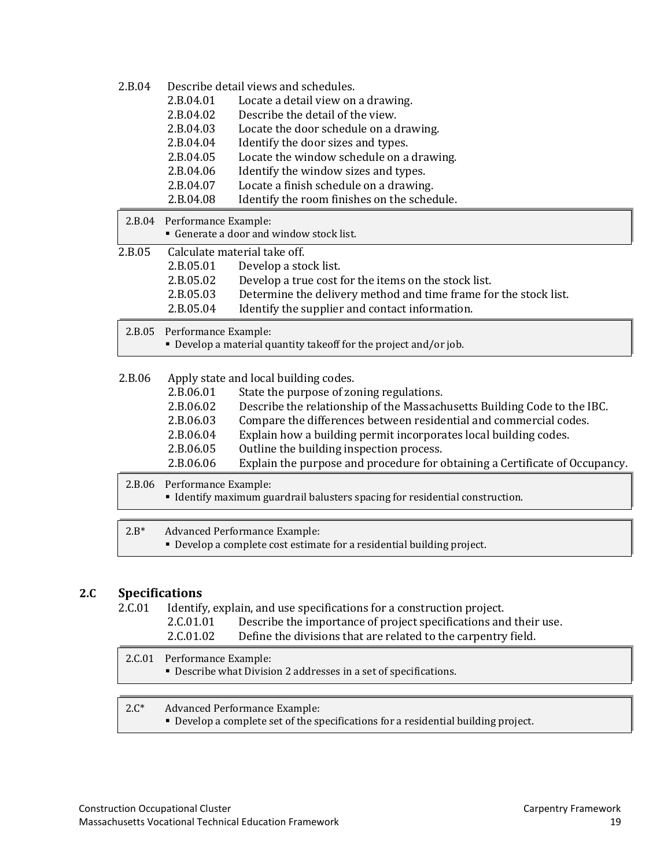| 2.B.04 |                      | Describe detail views and schedules.                                                                           |
|--------|----------------------|----------------------------------------------------------------------------------------------------------------|
|        | 2.B.04.01            | Locate a detail view on a drawing.                                                                             |
|        | 2.B.04.02            | Describe the detail of the view.                                                                               |
|        | 2.B.04.03            | Locate the door schedule on a drawing.                                                                         |
|        | 2.B.04.04            | Identify the door sizes and types.                                                                             |
|        | 2.B.04.05            | Locate the window schedule on a drawing.                                                                       |
|        | 2.B.04.06            | Identify the window sizes and types.                                                                           |
|        | 2.B.04.07            | Locate a finish schedule on a drawing.                                                                         |
|        | 2.B.04.08            | Identify the room finishes on the schedule.                                                                    |
| 2.B.04 | Performance Example: |                                                                                                                |
|        |                      | • Generate a door and window stock list.                                                                       |
| 2.B.05 |                      | Calculate material take off.                                                                                   |
|        | 2.B.05.01            | Develop a stock list.                                                                                          |
|        | 2.B.05.02            | Develop a true cost for the items on the stock list.                                                           |
|        | 2.B.05.03            | Determine the delivery method and time frame for the stock list.                                               |
|        | 2.B.05.04            | Identify the supplier and contact information.                                                                 |
|        |                      |                                                                                                                |
| 2.B.05 | Performance Example: |                                                                                                                |
|        |                      | • Develop a material quantity takeoff for the project and/or job.                                              |
|        |                      |                                                                                                                |
| 2.B.06 |                      | Apply state and local building codes.                                                                          |
|        | 2.B.06.01            | State the purpose of zoning regulations.                                                                       |
|        | 2.B.06.02            | Describe the relationship of the Massachusetts Building Code to the IBC.                                       |
|        | 2.B.06.03            | Compare the differences between residential and commercial codes.                                              |
|        | 2.B.06.04            | Explain how a building permit incorporates local building codes.                                               |
|        | 2.B.06.05            | Outline the building inspection process.                                                                       |
|        | 2.B.06.06            | Explain the purpose and procedure for obtaining a Certificate of Occupancy.                                    |
| 2.B.06 | Performance Example: |                                                                                                                |
|        |                      | • Identify maximum guardrail balusters spacing for residential construction.                                   |
|        |                      |                                                                                                                |
| $2.B*$ |                      | <b>Advanced Performance Example:</b><br>• Develop a complete cost estimate for a residential building project. |

#### **2.C Specifications**

2.C.01 Identify, explain, and use specifications for a construction project.<br>2.C.01.01 Describe the importance of project specifications and

- 2.C.01.01 Describe the importance of project specifications and their use.<br>2.C.01.02 Define the divisions that are related to the carpentry field. Define the divisions that are related to the carpentry field.
- 2.C.01 Performance Example: Describe what Division 2 addresses in a set of specifications.

#### 2.C\* Advanced Performance Example:

Develop a complete set of the specifications for a residential building project.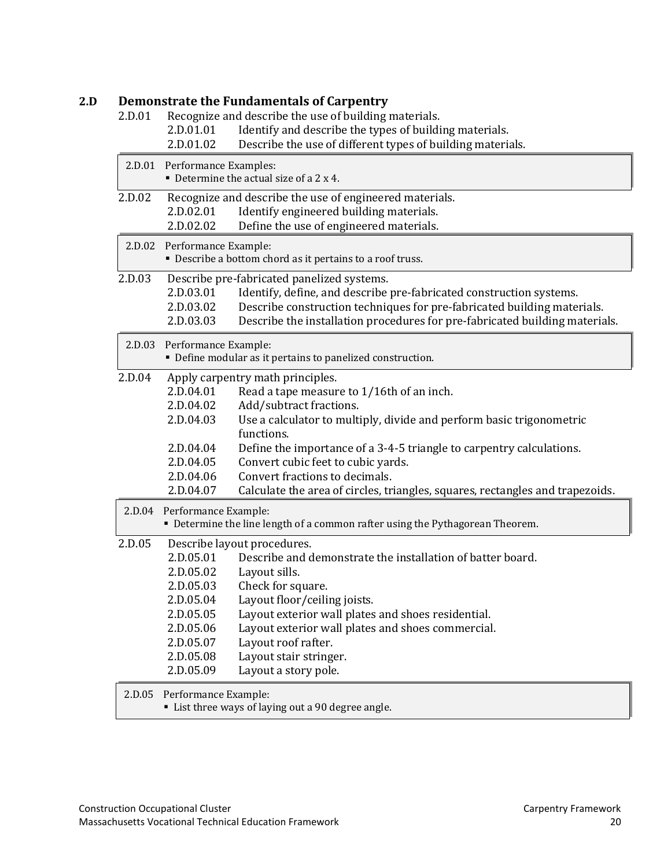#### **2.D Demonstrate the Fundamentals of Carpentry**

2.D.01 Recognize and describe the use of building materials.<br>2.D.01.01 Identify and describe the types of buildi

- 2.D.01.01 Identify and describe the types of building materials.<br>2.D.01.02 Describe the use of different types of building materials.
	- Describe the use of different types of building materials.

|        | 2.D.01 Performance Examples: | $\blacksquare$ Determine the actual size of a 2 x 4.                          |
|--------|------------------------------|-------------------------------------------------------------------------------|
| 2.D.02 |                              | Recognize and describe the use of engineered materials.                       |
|        | 2.D.02.01                    | Identify engineered building materials.                                       |
|        | 2.D.02.02                    | Define the use of engineered materials.                                       |
|        | 2.D.02 Performance Example:  | • Describe a bottom chord as it pertains to a roof truss.                     |
| 2.D.03 |                              | Describe pre-fabricated panelized systems.                                    |
|        | 2.D.03.01                    | Identify, define, and describe pre-fabricated construction systems.           |
|        | 2.D.03.02                    | Describe construction techniques for pre-fabricated building materials.       |
|        | 2.D.03.03                    | Describe the installation procedures for pre-fabricated building materials.   |
|        | 2.D.03 Performance Example:  |                                                                               |
|        |                              | • Define modular as it pertains to panelized construction.                    |
| 2.D.04 |                              | Apply carpentry math principles.                                              |
|        | 2.D.04.01                    | Read a tape measure to 1/16th of an inch.                                     |
|        | 2.D.04.02                    | Add/subtract fractions.                                                       |
|        | 2.D.04.03                    | Use a calculator to multiply, divide and perform basic trigonometric          |
|        |                              | functions.                                                                    |
|        | 2.D.04.04                    | Define the importance of a 3-4-5 triangle to carpentry calculations.          |
|        | 2.D.04.05                    | Convert cubic feet to cubic yards.                                            |
|        | 2.D.04.06                    | Convert fractions to decimals.                                                |
|        | 2.D.04.07                    | Calculate the area of circles, triangles, squares, rectangles and trapezoids. |
| 2.D.04 | Performance Example:         |                                                                               |
|        |                              | • Determine the line length of a common rafter using the Pythagorean Theorem. |
| 2.D.05 |                              | Describe layout procedures.                                                   |
|        | 2.D.05.01                    | Describe and demonstrate the installation of batter board.                    |
|        | 2.D.05.02                    | Layout sills.                                                                 |
|        | 2.D.05.03                    | Check for square.                                                             |
|        | 2.D.05.04                    | Layout floor/ceiling joists.                                                  |
|        | 2.D.05.05                    | Layout exterior wall plates and shoes residential.                            |
|        | 2.D.05.06                    | Layout exterior wall plates and shoes commercial.                             |
|        | 2.D.05.07                    | Layout roof rafter.                                                           |
|        | 2.D.05.08                    | Layout stair stringer.                                                        |
|        | 2.D.05.09                    | Layout a story pole.                                                          |
| 2.D.05 | Performance Example:         |                                                                               |

List three ways of laying out a 90 degree angle.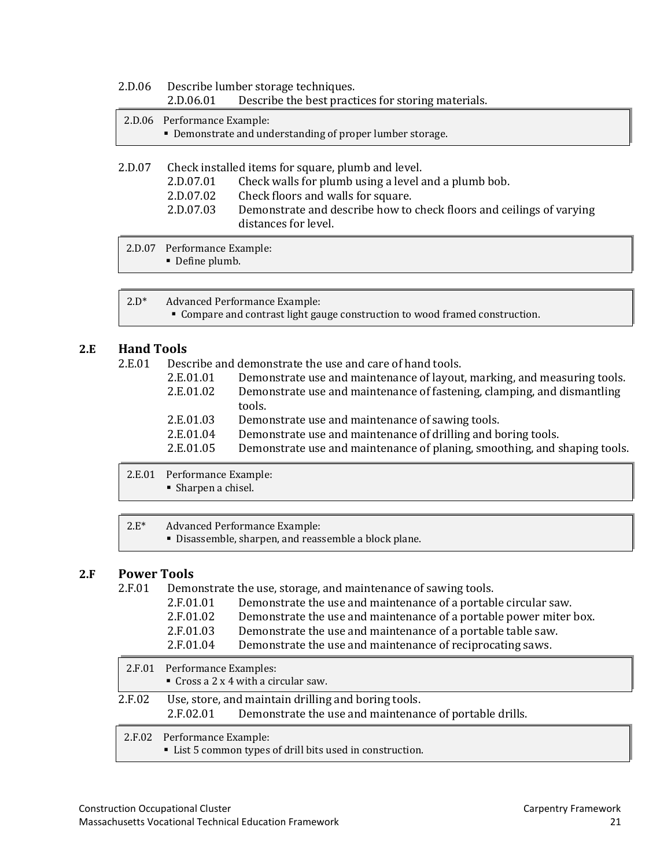| 2.D.06 |                             | Describe lumber storage techniques.                                    |  |
|--------|-----------------------------|------------------------------------------------------------------------|--|
|        | 2.D.06.01                   | Describe the best practices for storing materials.                     |  |
|        | 2.D.06 Performance Example: |                                                                        |  |
|        |                             | • Demonstrate and understanding of proper lumber storage.              |  |
|        |                             |                                                                        |  |
| 2.D.07 |                             | Check installed items for square, plumb and level.                     |  |
|        | 2.D.07.01                   | Check walls for plumb using a level and a plumb bob.                   |  |
|        | 2.D.07.02                   | Check floors and walls for square.                                     |  |
|        | ימידם חי                    | Demonstrate and describe hour to sheely floore and soilings of warring |  |

2.D.07.03 Demonstrate and describe how to check floors and ceilings of varying distances for level.

2.D.07 Performance Example:

Define plumb.

2.D\* Advanced Performance Example:

Compare and contrast light gauge construction to wood framed construction.

#### **2.E Hand Tools**

2.E.01 Describe and demonstrate the use and care of hand tools.

| 2.E.01.01 | Demonstrate use and maintenance of layout, marking, and measuring tools.  |
|-----------|---------------------------------------------------------------------------|
| 2.E.01.02 | Demonstrate use and maintenance of fastening, clamping, and dismantling   |
|           | tools.                                                                    |
| 2.E.01.03 | Demonstrate use and maintenance of sawing tools.                          |
| 2.E.01.04 | Demonstrate use and maintenance of drilling and boring tools.             |
| 2.E.01.05 | Demonstrate use and maintenance of planing, smoothing, and shaping tools. |
|           |                                                                           |

2.E.01 Performance Example: Sharpen a chisel.

| $2.E^*$ | Advanced Performance Example:                         |
|---------|-------------------------------------------------------|
|         | • Disassemble, sharpen, and reassemble a block plane. |

#### **2.F Power Tools**

2.F.01 Demonstrate the use, storage, and maintenance of sawing tools.

| 2.F.01.01       | Demonstrate the use and maintenance of a portable circular saw.    |
|-----------------|--------------------------------------------------------------------|
| 2.F.01.02       | Demonstrate the use and maintenance of a portable power miter box. |
| 2.F.01.03       | Demonstrate the use and maintenance of a portable table saw.       |
| $2$ E $01$ $04$ | Demonstrate the use and maintenance of reciprocating saws          |

|        | <u>LIIIVIIVI</u><br>Demonstrate the use and mannemance of reciprocating saws.                                            |
|--------|--------------------------------------------------------------------------------------------------------------------------|
|        | 2.F.01 Performance Examples:<br>Cross a $2 \times 4$ with a circular saw.                                                |
| 2.F.02 | Use, store, and maintain drilling and boring tools.<br>2.F.02.01 Demonstrate the use and maintenance of portable drills. |
|        | 2.F.02 Performance Example:<br>• List 5 common types of drill bits used in construction.                                 |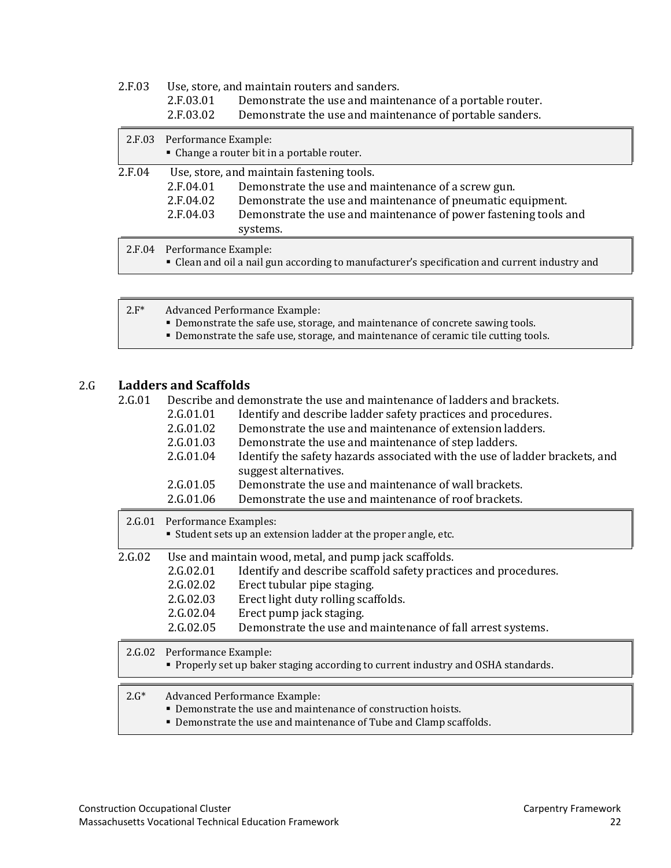| 2.F.03 |                      | Use, store, and maintain routers and sanders.                                                 |  |
|--------|----------------------|-----------------------------------------------------------------------------------------------|--|
|        | 2.F.03.01            | Demonstrate the use and maintenance of a portable router.                                     |  |
|        | 2.F.03.02            | Demonstrate the use and maintenance of portable sanders.                                      |  |
| 2.F.03 | Performance Example: |                                                                                               |  |
|        |                      | • Change a router bit in a portable router.                                                   |  |
| 2.F.04 |                      | Use, store, and maintain fastening tools.                                                     |  |
|        | 2.F.04.01            | Demonstrate the use and maintenance of a screw gun.                                           |  |
|        | 2.F.04.02            | Demonstrate the use and maintenance of pneumatic equipment.                                   |  |
|        | 2.F.04.03            | Demonstrate the use and maintenance of power fastening tools and                              |  |
|        |                      | systems.                                                                                      |  |
| 2.F.04 | Performance Example: | • Clean and oil a nail gun according to manufacturer's specification and current industry and |  |

| $2.F^*$ | Advanced Performance Example:<br>• Demonstrate the safe use, storage, and maintenance of concrete sawing tools.<br>• Demonstrate the safe use, storage, and maintenance of ceramic tile cutting tools. |
|---------|--------------------------------------------------------------------------------------------------------------------------------------------------------------------------------------------------------|
|         |                                                                                                                                                                                                        |

# 2.G **Ladders and Scaffolds**

| 2.G.01 |  | Describe and demonstrate the use and maintenance of ladders and brackets. |  |  |  |  |  |
|--------|--|---------------------------------------------------------------------------|--|--|--|--|--|
|--------|--|---------------------------------------------------------------------------|--|--|--|--|--|

| 2.G.01.01            | Identify and describe ladder safety practices and procedures.               |  |
|----------------------|-----------------------------------------------------------------------------|--|
| 2.G.01.02            | Demonstrate the use and maintenance of extension ladders.                   |  |
| 2.G.01.03            | Demonstrate the use and maintenance of step ladders.                        |  |
| 2.G.01.04            | Identify the safety hazards associated with the use of ladder brackets, and |  |
|                      | suggest alternatives.                                                       |  |
| 2.G.01.05            | Demonstrate the use and maintenance of wall brackets.                       |  |
| 2.G.01.06            | Demonstrate the use and maintenance of roof brackets.                       |  |
| Performance Evamples |                                                                             |  |

| 2.0.01 | Performance Examples:                                                                                                                                                       |                                                                                                                                                                                                 |  |
|--------|-----------------------------------------------------------------------------------------------------------------------------------------------------------------------------|-------------------------------------------------------------------------------------------------------------------------------------------------------------------------------------------------|--|
|        |                                                                                                                                                                             | • Student sets up an extension ladder at the proper angle, etc.                                                                                                                                 |  |
| 2.G.02 | 2.G.02.01<br>2.G.02.02<br>2.G.02.03                                                                                                                                         | Use and maintain wood, metal, and pump jack scaffolds.<br>Identify and describe scaffold safety practices and procedures.<br>Erect tubular pipe staging.<br>Erect light duty rolling scaffolds. |  |
|        | 2.G.02.04                                                                                                                                                                   | Erect pump jack staging.                                                                                                                                                                        |  |
|        | 2.G.02.05                                                                                                                                                                   | Demonstrate the use and maintenance of fall arrest systems.                                                                                                                                     |  |
|        | 2.G.02 Performance Example:<br>• Properly set up baker staging according to current industry and OSHA standards.                                                            |                                                                                                                                                                                                 |  |
|        |                                                                                                                                                                             |                                                                                                                                                                                                 |  |
| $2.G*$ | <b>Advanced Performance Example:</b><br>• Demonstrate the use and maintenance of construction hoists.<br>• Demonstrate the use and maintenance of Tube and Clamp scaffolds. |                                                                                                                                                                                                 |  |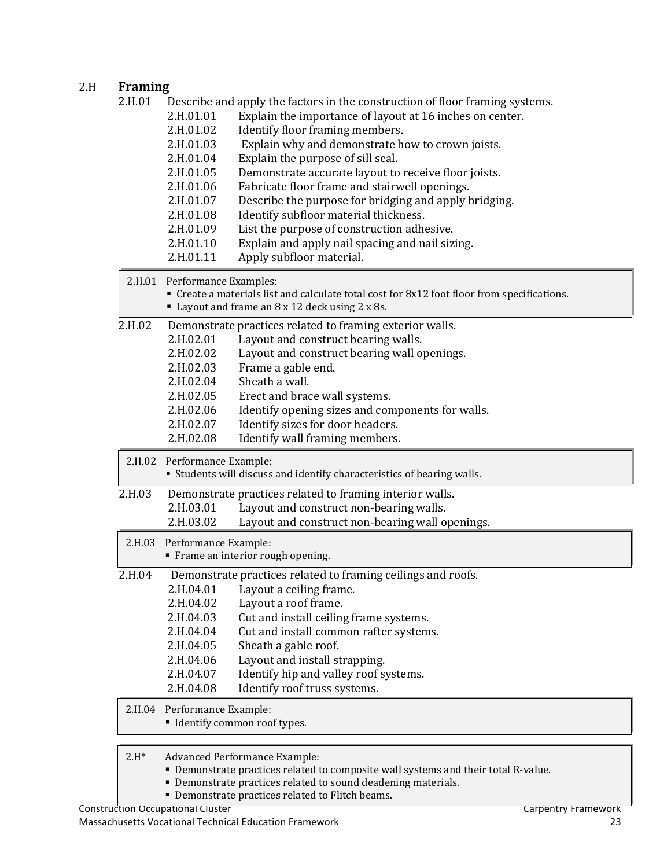### 2.H **Framing**

| 2.H.01  | Describe and apply the factors in the construction of floor framing systems.<br>2.H.01.01<br>Explain the importance of layout at 16 inches on center.<br>Identify floor framing members.<br>2.H.01.02<br>Explain why and demonstrate how to crown joists.<br>2.H.01.03<br>2.H.01.04<br>Explain the purpose of sill seal.<br>2.H.01.05<br>Demonstrate accurate layout to receive floor joists.<br>2.H.01.06<br>Fabricate floor frame and stairwell openings.<br>2.H.01.07<br>Describe the purpose for bridging and apply bridging.<br>Identify subfloor material thickness.<br>2.H.01.08<br>2.H.01.09<br>List the purpose of construction adhesive.<br>2.H.01.10<br>Explain and apply nail spacing and nail sizing.<br>2.H.01.11<br>Apply subfloor material. |
|---------|-------------------------------------------------------------------------------------------------------------------------------------------------------------------------------------------------------------------------------------------------------------------------------------------------------------------------------------------------------------------------------------------------------------------------------------------------------------------------------------------------------------------------------------------------------------------------------------------------------------------------------------------------------------------------------------------------------------------------------------------------------------|
|         | 2.H.01 Performance Examples:<br>• Create a materials list and calculate total cost for 8x12 foot floor from specifications.<br>Layout and frame an 8 x 12 deck using 2 x 8s.                                                                                                                                                                                                                                                                                                                                                                                                                                                                                                                                                                                |
| 2.H.02  | Demonstrate practices related to framing exterior walls.<br>2.H.02.01<br>Layout and construct bearing walls.<br>Layout and construct bearing wall openings.<br>2.H.02.02<br>Frame a gable end.<br>2.H.02.03<br>Sheath a wall.<br>2.H.02.04<br>2.H.02.05<br>Erect and brace wall systems.<br>Identify opening sizes and components for walls.<br>2.H.02.06<br>Identify sizes for door headers.<br>2.H.02.07<br>2.H.02.08<br>Identify wall framing members.                                                                                                                                                                                                                                                                                                   |
|         | 2.H.02 Performance Example:<br>• Students will discuss and identify characteristics of bearing walls.                                                                                                                                                                                                                                                                                                                                                                                                                                                                                                                                                                                                                                                       |
| 2.H.03  | Demonstrate practices related to framing interior walls.<br>2.H.03.01<br>Layout and construct non-bearing walls.<br>2.H.03.02<br>Layout and construct non-bearing wall openings.                                                                                                                                                                                                                                                                                                                                                                                                                                                                                                                                                                            |
|         | 2.H.03 Performance Example:<br>" Frame an interior rough opening.                                                                                                                                                                                                                                                                                                                                                                                                                                                                                                                                                                                                                                                                                           |
| 2.H.04  | Demonstrate practices related to framing ceilings and roofs.<br>2.H.04.01<br>Layout a ceiling frame.<br>2.H.04.02<br>Layout a roof frame.<br>Cut and install ceiling frame systems.<br>2.H.04.03<br>2.H.04.04<br>Cut and install common rafter systems.<br>2.H.04.05<br>Sheath a gable roof.<br>2.H.04.06<br>Layout and install strapping.<br>Identify hip and valley roof systems.<br>2.H.04.07<br>Identify roof truss systems.<br>2.H.04.08                                                                                                                                                                                                                                                                                                               |
|         | 2.H.04 Performance Example:<br>" Identify common roof types.                                                                                                                                                                                                                                                                                                                                                                                                                                                                                                                                                                                                                                                                                                |
| $2.H^*$ | <b>Advanced Performance Example:</b><br>• Demonstrate practices related to composite wall systems and their total R-value.<br>• Demonstrate practices related to sound deadening materials.                                                                                                                                                                                                                                                                                                                                                                                                                                                                                                                                                                 |

Demonstrate practices related to Flitch beams.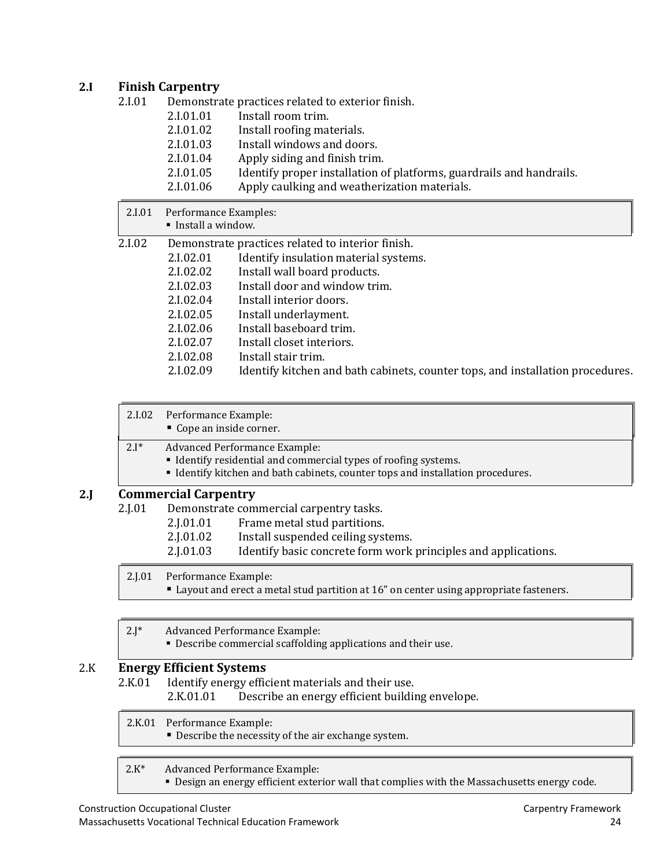#### **2.I Finish Carpentry**

| 2.I.01 |           | Demonstrate practices related to exterior finish.                    |
|--------|-----------|----------------------------------------------------------------------|
|        | 2.I.01.01 | Install room trim.                                                   |
|        | 2.I.01.02 | Install roofing materials.                                           |
|        | 2.I.01.03 | Install windows and doors.                                           |
|        | 2.I.01.04 | Apply siding and finish trim.                                        |
|        | 2.I.01.05 | Identify proper installation of platforms, guardrails and handrails. |
|        | 2.I.01.06 | Apply caulking and weatherization materials.                         |

| 2.I.01 | Performance Examples:<br>Install a window. |                                                                                |
|--------|--------------------------------------------|--------------------------------------------------------------------------------|
| 2.I.02 |                                            | Demonstrate practices related to interior finish.                              |
|        | 2.I.02.01                                  | Identify insulation material systems.                                          |
|        | 2.I.02.02                                  | Install wall board products.                                                   |
|        | 2.I.02.03                                  | Install door and window trim.                                                  |
|        | 2.I.02.04                                  | Install interior doors.                                                        |
|        | 2.I.02.05                                  | Install underlayment.                                                          |
|        | 2.I.02.06                                  | Install baseboard trim.                                                        |
|        | 2.I.02.07                                  | Install closet interiors.                                                      |
|        | 2.I.02.08                                  | Install stair trim.                                                            |
|        | 2.I.02.09                                  | Identify kitchen and bath cabinets, counter tops, and installation procedures. |

|     | 2.I.02    | Performance Example:<br>• Cope an inside corner.                                                                                                                                    |  |
|-----|-----------|-------------------------------------------------------------------------------------------------------------------------------------------------------------------------------------|--|
|     | $2.I^*$   | Advanced Performance Example:<br>• Identify residential and commercial types of roofing systems.<br>• Identify kitchen and bath cabinets, counter tops and installation procedures. |  |
| 2.I |           | <b>Commercial Carpentry</b>                                                                                                                                                         |  |
|     | $2.$ [.01 | Demonstrate commercial carpentry tasks.<br>Frame metal stud partitions.<br>2.J.01.01                                                                                                |  |

- 2.J.01.02 Install suspended ceiling systems.
- 2.J.01.03 Identify basic concrete form work principles and applications.

2.J.01 Performance Example:

- Layout and erect a metal stud partition at 16" on center using appropriate fasteners.
- 2.J\* Advanced Performance Example:
	- Describe commercial scaffolding applications and their use.

# 2.K **Energy Efficient Systems**

Identify energy efficient materials and their use.<br>2.K.01.01 Describe an energy efficient buildir

Describe an energy efficient building envelope.

2.K.01 Performance Example:

**Describe the necessity of the air exchange system.** 

#### 2.K\* Advanced Performance Example:

**• Design an energy efficient exterior wall that complies with the Massachusetts energy code.**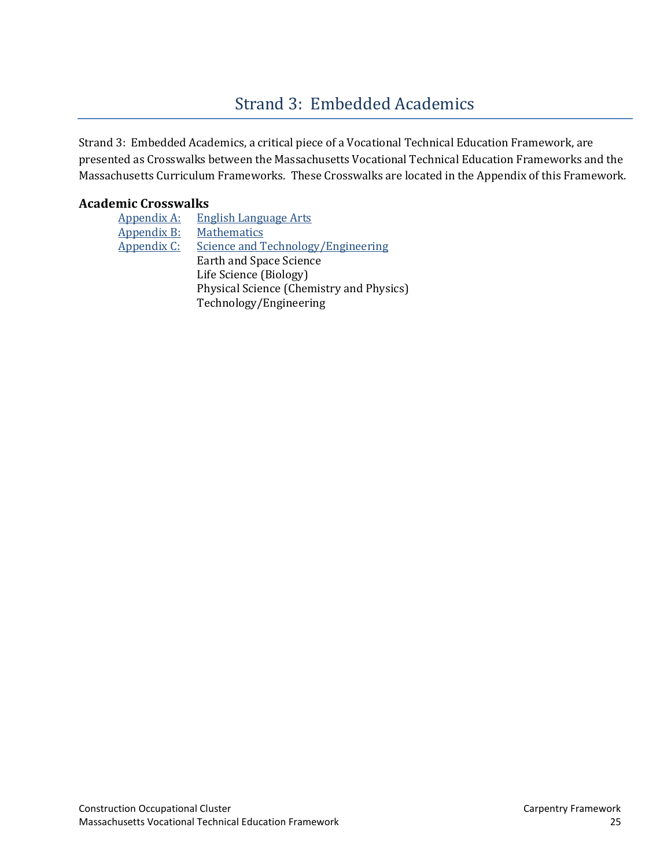# [Strand 3: Embedded Academics](#page-2-0)

<span id="page-26-0"></span>Strand 3: Embedded Academics, a critical piece of a Vocational Technical Education Framework, are presented as Crosswalks between the Massachusetts Vocational Technical Education Frameworks and the Massachusetts Curriculum Frameworks. These Crosswalks are located in the Appendix of this Framework.

#### **Academic Crosswalks**

| <b>Appendix A:</b> | <b>English Language Arts</b>             |
|--------------------|------------------------------------------|
| Appendix B:        | Mathematics                              |
| Appendix C:        | Science and Technology/Engineering       |
|                    | Earth and Space Science                  |
|                    | Life Science (Biology)                   |
|                    | Physical Science (Chemistry and Physics) |
|                    | Technology/Engineering                   |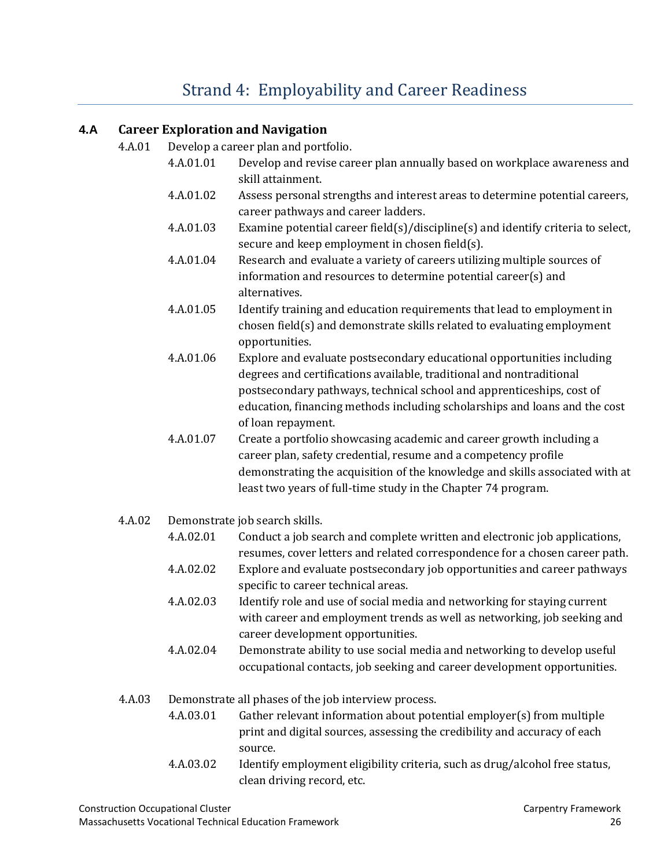# [Strand 4: Employability and](#page-2-0) Career Readiness

#### <span id="page-27-0"></span>**4.A Career Exploration and Navigation**

- 4.A.01 Develop a career plan and portfolio.
	- 4.A.01.01 Develop and revise career plan annually based on workplace awareness and skill attainment.
	- 4.A.01.02 Assess personal strengths and interest areas to determine potential careers, career pathways and career ladders.
	- 4.A.01.03 Examine potential career field(s)/discipline(s) and identify criteria to select, secure and keep employment in chosen field(s).
	- 4.A.01.04 Research and evaluate a variety of careers utilizing multiple sources of information and resources to determine potential career(s) and alternatives.
	- 4.A.01.05 Identify training and education requirements that lead to employment in chosen field(s) and demonstrate skills related to evaluating employment opportunities.
	- 4.A.01.06 Explore and evaluate postsecondary educational opportunities including degrees and certifications available, traditional and nontraditional postsecondary pathways, technical school and apprenticeships, cost of education, financing methods including scholarships and loans and the cost of loan repayment.
	- 4.A.01.07 Create a portfolio showcasing academic and career growth including a career plan, safety credential, resume and a competency profile demonstrating the acquisition of the knowledge and skills associated with at least two years of full-time study in the Chapter 74 program.
- 4.A.02 Demonstrate job search skills.
	- 4.A.02.01 Conduct a job search and complete written and electronic job applications, resumes, cover letters and related correspondence for a chosen career path.
	- 4.A.02.02 Explore and evaluate postsecondary job opportunities and career pathways specific to career technical areas.
	- 4.A.02.03 Identify role and use of social media and networking for staying current with career and employment trends as well as networking, job seeking and career development opportunities.
	- 4.A.02.04 Demonstrate ability to use social media and networking to develop useful occupational contacts, job seeking and career development opportunities.
- 4.A.03 Demonstrate all phases of the job interview process.
	- 4.A.03.01 Gather relevant information about potential employer(s) from multiple print and digital sources, assessing the credibility and accuracy of each source.
	- 4.A.03.02 Identify employment eligibility criteria, such as drug/alcohol free status, clean driving record, etc.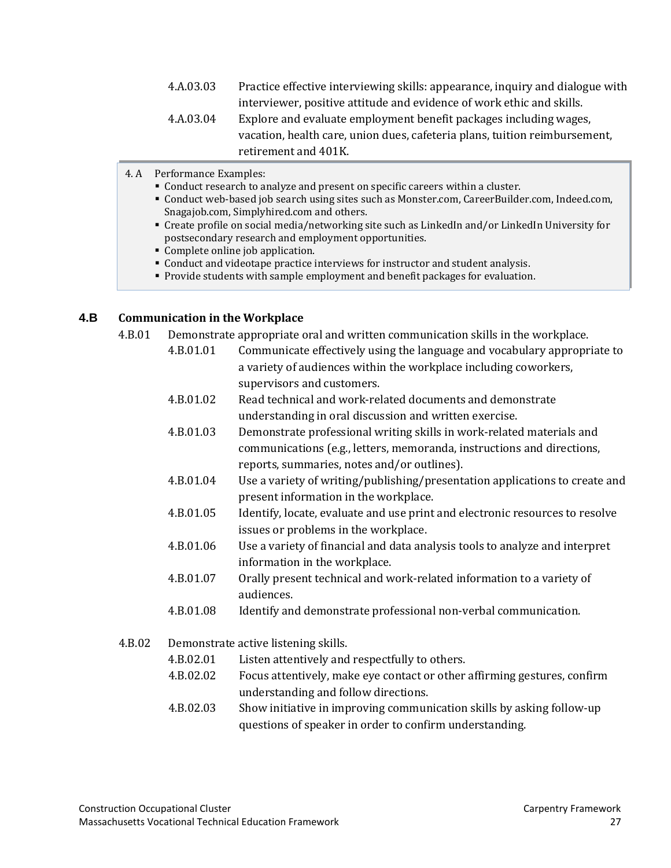- 4.A.03.03 Practice effective interviewing skills: appearance, inquiry and dialogue with interviewer, positive attitude and evidence of work ethic and skills.
- 4.A.03.04 Explore and evaluate employment benefit packages including wages, vacation, health care, union dues, cafeteria plans, tuition reimbursement, retirement and 401K.
- 4. A Performance Examples:
	- Conduct research to analyze and present on specific careers within a cluster.
	- Conduct web-based job search using sites such as Monster.com, CareerBuilder.com, Indeed.com, Snagajob.com, Simplyhired.com and others.
	- Create profile on social media/networking site such as LinkedIn and/or LinkedIn University for postsecondary research and employment opportunities.
	- Complete online job application.
	- Conduct and videotape practice interviews for instructor and student analysis.
	- **Provide students with sample employment and benefit packages for evaluation.**

#### **4.B Communication in the Workplace**

- 4.B.01 Demonstrate appropriate oral and written communication skills in the workplace.
	- 4.B.01.01 Communicate effectively using the language and vocabulary appropriate to a variety of audiences within the workplace including coworkers, supervisors and customers.
	- 4.B.01.02 Read technical and work-related documents and demonstrate understanding in oral discussion and written exercise.
	- 4.B.01.03 Demonstrate professional writing skills in work-related materials and communications (e.g., letters, memoranda, instructions and directions, reports, summaries, notes and/or outlines).
	- 4.B.01.04 Use a variety of writing/publishing/presentation applications to create and present information in the workplace.
	- 4.B.01.05 Identify, locate, evaluate and use print and electronic resources to resolve issues or problems in the workplace.
	- 4.B.01.06 Use a variety of financial and data analysis tools to analyze and interpret information in the workplace.
	- 4.B.01.07 Orally present technical and work-related information to a variety of audiences.
	- 4.B.01.08 Identify and demonstrate professional non-verbal communication.
- 4.B.02 Demonstrate active listening skills.
	- 4.B.02.01 Listen attentively and respectfully to others.
	- 4.B.02.02 Focus attentively, make eye contact or other affirming gestures, confirm understanding and follow directions.
	- 4.B.02.03 Show initiative in improving communication skills by asking follow-up questions of speaker in order to confirm understanding.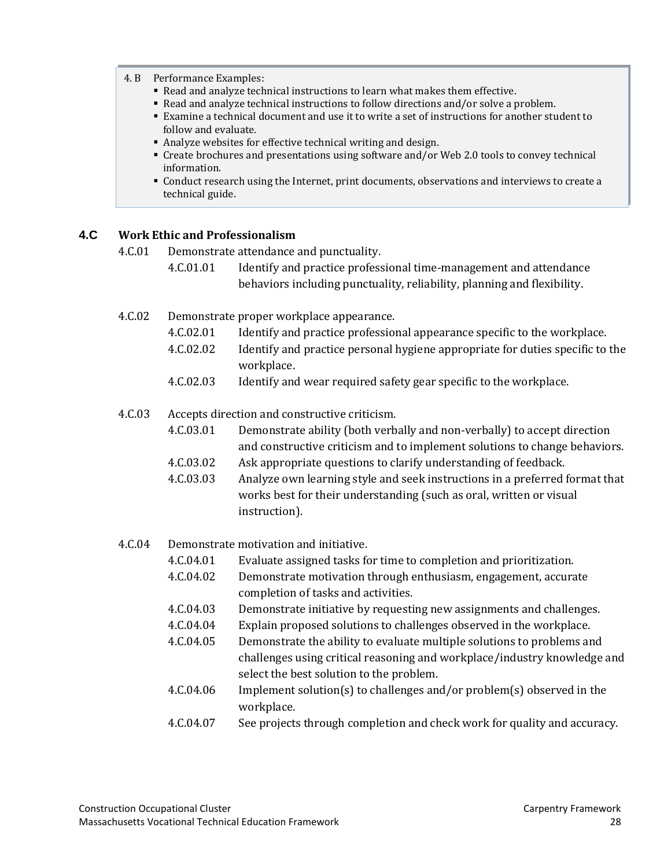#### 4. B Performance Examples:

- Read and analyze technical instructions to learn what makes them effective.
- Read and analyze technical instructions to follow directions and/or solve a problem.
- Examine a technical document and use it to write a set of instructions for another student to follow and evaluate.
- Analyze websites for effective technical writing and design.
- Create brochures and presentations using software and/or Web 2.0 tools to convey technical information.
- Conduct research using the Internet, print documents, observations and interviews to create a technical guide.

#### **4.C Work Ethic and Professionalism**

4.C.01 Demonstrate attendance and punctuality.

- 4.C.01.01 Identify and practice professional time-management and attendance behaviors including punctuality, reliability, planning and flexibility.
- 4.C.02 Demonstrate proper workplace appearance.
	- 4.C.02.01 Identify and practice professional appearance specific to the workplace.
	- 4.C.02.02 Identify and practice personal hygiene appropriate for duties specific to the workplace.
	- 4.C.02.03 Identify and wear required safety gear specific to the workplace.

#### 4.C.03 Accepts direction and constructive criticism.

- 4.C.03.01 Demonstrate ability (both verbally and non-verbally) to accept direction and constructive criticism and to implement solutions to change behaviors.
- 4.C.03.02 Ask appropriate questions to clarify understanding of feedback.
- 4.C.03.03 Analyze own learning style and seek instructions in a preferred format that works best for their understanding (such as oral, written or visual instruction).
- 4.C.04 Demonstrate motivation and initiative.<br>4.C.04.01 Evaluate assigned tasks fo
	- Evaluate assigned tasks for time to completion and prioritization.
	- 4.C.04.02 Demonstrate motivation through enthusiasm, engagement, accurate completion of tasks and activities.
	- 4.C.04.03 Demonstrate initiative by requesting new assignments and challenges.
	- 4.C.04.04 Explain proposed solutions to challenges observed in the workplace.<br>4.C.04.05 Demonstrate the ability to evaluate multiple solutions to problems are
	- Demonstrate the ability to evaluate multiple solutions to problems and challenges using critical reasoning and workplace/industry knowledge and select the best solution to the problem.
	- 4.C.04.06 Implement solution(s) to challenges and/or problem(s) observed in the workplace.
	- 4.C.04.07 See projects through completion and check work for quality and accuracy.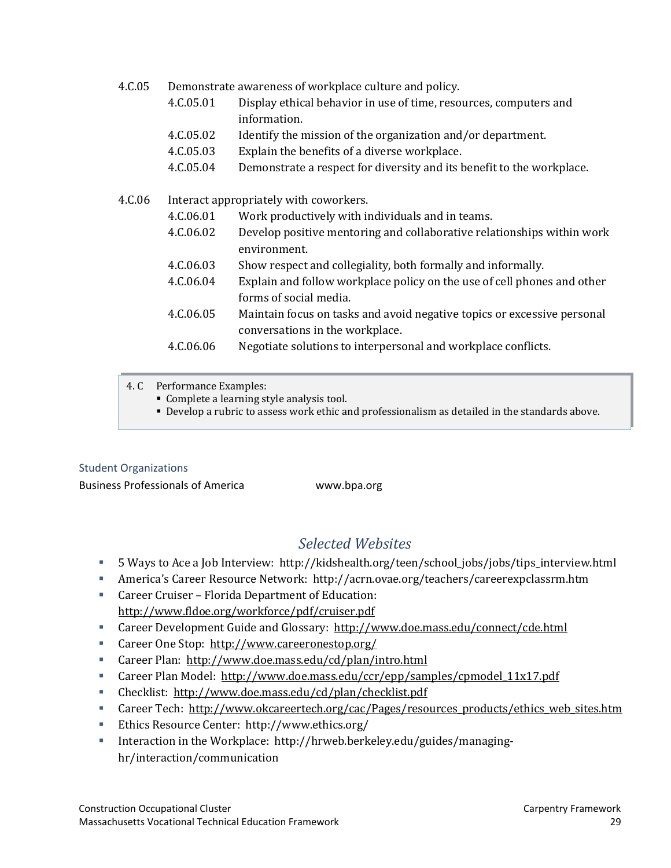| 4.C.05 | Demonstrate awareness of workplace culture and policy. |
|--------|--------------------------------------------------------|
|--------|--------------------------------------------------------|

- 4.C.05.01 Display ethical behavior in use of time, resources, computers and information.
- 4.C.05.02 Identify the mission of the organization and/or department.
- 4.C.05.03 Explain the benefits of a diverse workplace.
- 4.C.05.04 Demonstrate a respect for diversity and its benefit to the workplace.

#### 4.C.06 Interact appropriately with coworkers.

- 4.C.06.01 Work productively with individuals and in teams.
- 4.C.06.02 Develop positive mentoring and collaborative relationships within work environment.
- 4.C.06.03 Show respect and collegiality, both formally and informally.
- 4.C.06.04 Explain and follow workplace policy on the use of cell phones and other forms of social media.
- 4.C.06.05 Maintain focus on tasks and avoid negative topics or excessive personal conversations in the workplace.
- 4.C.06.06 Negotiate solutions to interpersonal and workplace conflicts.

4. C Performance Examples:

- Complete a learning style analysis tool.
- Develop a rubric to assess work ethic and professionalism as detailed in the standards above.

#### [Student Organizations](#page-2-0)

Business Professionals of America www.bpa.org

### *Selected Websites*

- <span id="page-30-0"></span>5 Ways to Ace a Job Interview: http://kidshealth.org/teen/school\_jobs/jobs/tips\_interview.html
- America's Career Resource Network: http://acrn.ovae.org/teachers/careerexpclassrm.htm
- Career Cruiser Florida Department of Education: <http://www.fldoe.org/workforce/pdf/cruiser.pdf>
- Career Development Guide and Glossary: <http://www.doe.mass.edu/connect/cde.html>
- Career One Stop: <http://www.careeronestop.org/>
- Career Plan: <http://www.doe.mass.edu/cd/plan/intro.html>
- Career Plan Model: http://www.doe.mass.edu/ccr/epp/samples/cpmodel 11x17.pdf
- Checklist:<http://www.doe.mass.edu/cd/plan/checklist.pdf>
- Career Tech: [http://www.okcareertech.org/cac/Pages/resources\\_products/ethics\\_web\\_sites.htm](http://www.okcareertech.org/cac/Pages/resources_products/ethics_web_sites.htm)
- Ethics Resource Center: http://www.ethics.org/
- Interaction in the Workplace: http://hrweb.berkeley.edu/guides/managinghr/interaction/communication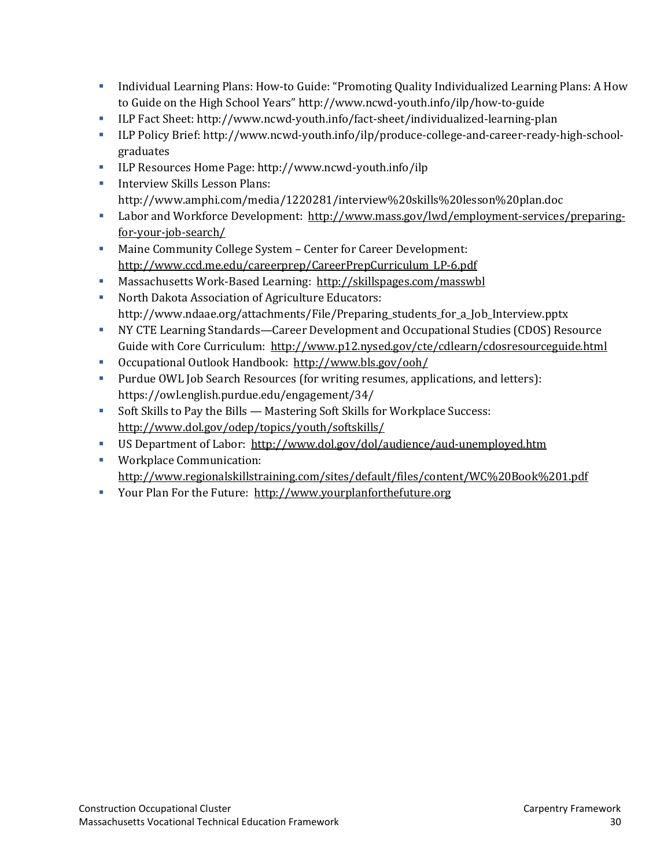- Individual Learning Plans: How-to Guide: "Promoting Quality Individualized Learning Plans: A How to Guide on the High School Years" http://www.ncwd-youth.info/ilp/how-to-guide
- ILP Fact Sheet: http://www.ncwd-youth.info/fact-sheet/individualized-learning-plan
- ILP Policy Brief: http://www.ncwd-youth.info/ilp/produce-college-and-career-ready-high-schoolgraduates
- ILP Resources Home Page: http://www.ncwd-youth.info/ilp
- **Interview Skills Lesson Plans:** http://www.amphi.com/media/1220281/interview%20skills%20lesson%20plan.doc
- Labor and Workforce Development: [http://www.mass.gov/lwd/employment-services/preparing](http://www.mass.gov/lwd/employment-services/preparing-for-your-job-search/)[for-your-job-search/](http://www.mass.gov/lwd/employment-services/preparing-for-your-job-search/)
- Maine Community College System Center for Career Development: [http://www.ccd.me.edu/careerprep/CareerPrepCurriculum\\_LP-6.pdf](http://www.ccd.me.edu/careerprep/CareerPrepCurriculum_LP-6.pdf)
- Massachusetts Work-Based Learning: <http://skillspages.com/masswbl>
- North Dakota Association of Agriculture Educators: http://www.ndaae.org/attachments/File/Preparing\_students\_for\_a\_Job\_Interview.pptx
- NY CTE Learning Standards—Career Development and Occupational Studies (CDOS) Resource Guide with Core Curriculum: <http://www.p12.nysed.gov/cte/cdlearn/cdosresourceguide.html>
- Occupational Outlook Handbook: <http://www.bls.gov/ooh/>
- Purdue OWL Job Search Resources (for writing resumes, applications, and letters): https://owl.english.purdue.edu/engagement/34/
- Soft Skills to Pay the Bills Mastering Soft Skills for Workplace Success: <http://www.dol.gov/odep/topics/youth/softskills/>
- US Department of Labor: <http://www.dol.gov/dol/audience/aud-unemployed.htm>
- **Workplace Communication:** <http://www.regionalskillstraining.com/sites/default/files/content/WC%20Book%201.pdf>
- Your Plan For the Future: [http://www.yourplanforthefuture.org](http://www.yourplanforthefuture.org/)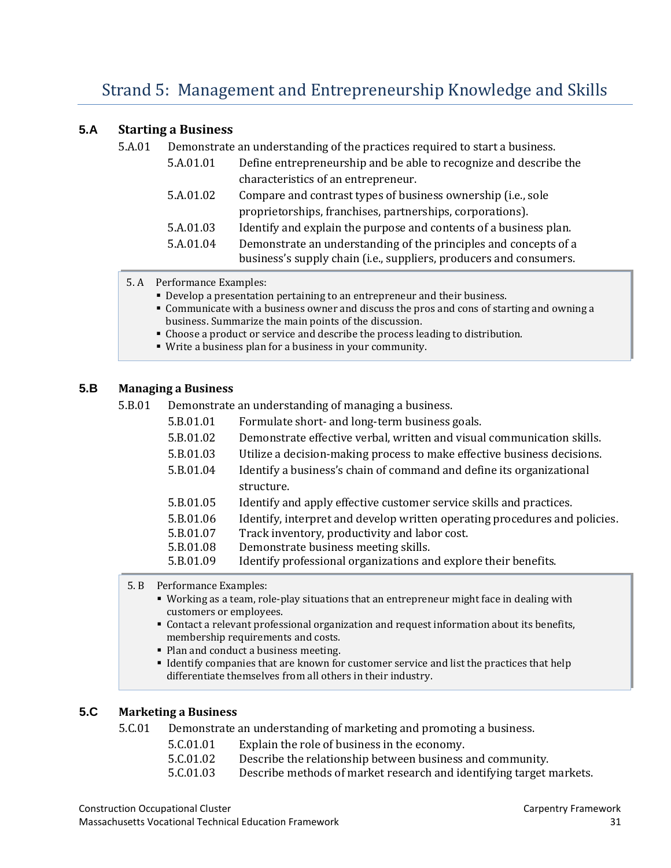#### <span id="page-32-0"></span>**5.A Starting a Business**

5.A.01 Demonstrate an understanding of the practices required to start a business.

| 5.A.01.01 | Define entrepreneurship and be able to recognize and describe the                                                                      |  |
|-----------|----------------------------------------------------------------------------------------------------------------------------------------|--|
|           | characteristics of an entrepreneur.                                                                                                    |  |
| 5.A.01.02 | Compare and contrast types of business ownership (i.e., sole                                                                           |  |
|           | proprietorships, franchises, partnerships, corporations).                                                                              |  |
| 5.A.01.03 | Identify and explain the purpose and contents of a business plan.                                                                      |  |
| 5.A.01.04 | Demonstrate an understanding of the principles and concepts of a<br>business's supply chain (i.e., suppliers, producers and consumers. |  |

- 5. A Performance Examples:
	- Develop a presentation pertaining to an entrepreneur and their business.
	- Communicate with a business owner and discuss the pros and cons of starting and owning a business. Summarize the main points of the discussion.
	- Choose a product or service and describe the process leading to distribution.
	- Write a business plan for a business in your community.

#### **5.B Managing a Business**

5.B.01 Demonstrate an understanding of managing a business.

| 5.B.01.01 | Formulate short- and long-term business goals.                             |
|-----------|----------------------------------------------------------------------------|
| 5.B.01.02 | Demonstrate effective verbal, written and visual communication skills.     |
| 5.B.01.03 | Utilize a decision-making process to make effective business decisions.    |
| 5.B.01.04 | Identify a business's chain of command and define its organizational       |
|           | structure.                                                                 |
| 5.B.01.05 | Identify and apply effective customer service skills and practices.        |
| 5.B.01.06 | Identify, interpret and develop written operating procedures and policies. |
| 5.B.01.07 | Track inventory, productivity and labor cost.                              |
| 5.B.01.08 | Demonstrate business meeting skills.                                       |
| 5.B.01.09 | Identify professional organizations and explore their benefits.            |
|           |                                                                            |

5. B Performance Examples:

- Working as a team, role-play situations that an entrepreneur might face in dealing with customers or employees.
- Contact a relevant professional organization and request information about its benefits, membership requirements and costs.
- Plan and conduct a business meeting.
- Identify companies that are known for customer service and list the practices that help differentiate themselves from all others in their industry.

#### **5.C Marketing a Business**

5.C.01 Demonstrate an understanding of marketing and promoting a business.

| 5.C.01.01                   | Explain the role of business in the economy.     |
|-----------------------------|--------------------------------------------------|
| $F \cap \Omega \cap \Omega$ | Describe the relationship between business and a |

- 5.C.01.02 Describe the relationship between business and community.<br>5.C.01.03 Describe methods of market research and identifying target i
	- Describe methods of market research and identifying target markets.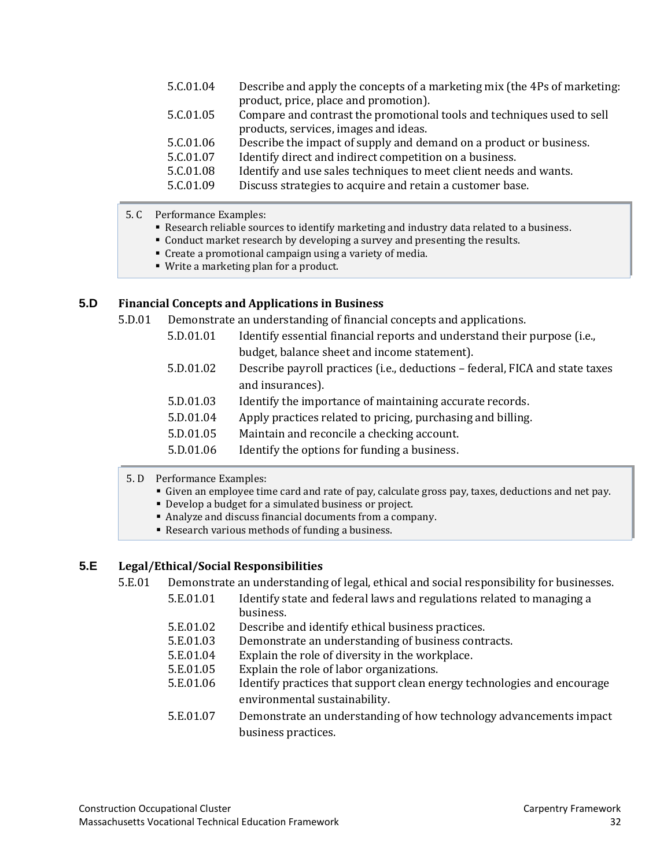| 5.C.01.04 | Describe and apply the concepts of a marketing mix (the 4Ps of marketing: |
|-----------|---------------------------------------------------------------------------|
|           | product, price, place and promotion).                                     |
| 5.C.01.05 | Compare and contrast the promotional tools and techniques used to sell    |
|           | products, services, images and ideas.                                     |
| 5.C.01.06 | Describe the impact of supply and demand on a product or business.        |
| 5.C.01.07 | Identify direct and indirect competition on a business.                   |
| 5.C.01.08 | Identify and use sales techniques to meet client needs and wants.         |
| 5.C.01.09 | Discuss strategies to acquire and retain a customer base.                 |
|           |                                                                           |

- 5. C Performance Examples:
	- Research reliable sources to identify marketing and industry data related to a business.
	- Conduct market research by developing a survey and presenting the results.
	- Create a promotional campaign using a variety of media.
	- Write a marketing plan for a product.

#### **5.D Financial Concepts and Applications in Business**

5.D.01 Demonstrate an understanding of financial concepts and applications.

- 5.D.01.01 Identify essential financial reports and understand their purpose (i.e., budget, balance sheet and income statement).
- 5.D.01.02 Describe payroll practices (i.e., deductions federal, FICA and state taxes and insurances).
- 5.D.01.03 Identify the importance of maintaining accurate records.
- 5.D.01.04 Apply practices related to pricing, purchasing and billing.
- 5.D.01.05 Maintain and reconcile a checking account.
- 5.D.01.06 Identify the options for funding a business.
- 5. D Performance Examples:
	- Given an employee time card and rate of pay, calculate gross pay, taxes, deductions and net pay.
	- Develop a budget for a simulated business or project.
	- Analyze and discuss financial documents from a company.
	- Research various methods of funding a business.

#### **5.E Legal/Ethical/Social Responsibilities**

- 5.E.01 Demonstrate an understanding of legal, ethical and social responsibility for businesses.
	- 5.E.01.01 Identify state and federal laws and regulations related to managing a business.
	- 5.E.01.02 Describe and identify ethical business practices.<br>5.E.01.03 Demonstrate an understanding of business contr
	- 5.E.01.03 Demonstrate an understanding of business contracts.<br>5.E.01.04 Explain the role of diversity in the workplace.
	- 5.E.01.04 Explain the role of diversity in the workplace.<br>5.E.01.05 Explain the role of labor organizations.
	- 5.E.01.05 Explain the role of labor organizations.<br>5.E.01.06 Identify practices that support clean en
	- Identify practices that support clean energy technologies and encourage environmental sustainability.
	- 5.E.01.07 Demonstrate an understanding of how technology advancements impact business practices.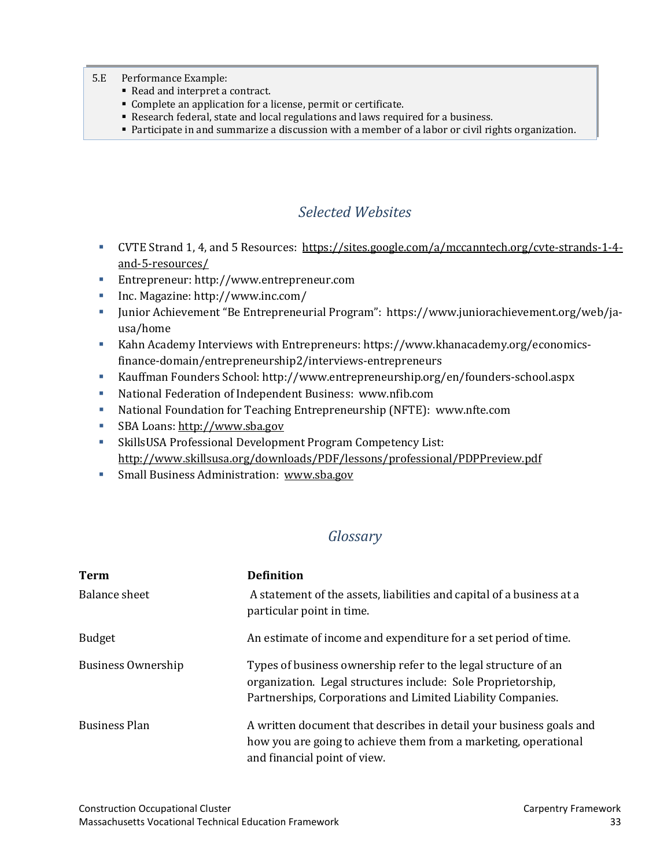- 5.E Performance Example:
	- Read and interpret a contract.
	- Complete an application for a license, permit or certificate.
	- Research federal, state and local regulations and laws required for a business.
	- Participate in and summarize a discussion with a member of a labor or civil rights organization.

## *Selected Websites*

- <span id="page-34-0"></span>CVTE Strand 1, 4, and 5 Resources: [https://sites.google.com/a/mccanntech.org/cvte-strands-1-4](https://sites.google.com/a/mccanntech.org/cvte-strands-1-4-and-5-resources/) [and-5-resources/](https://sites.google.com/a/mccanntech.org/cvte-strands-1-4-and-5-resources/)
- Entrepreneur: http://www.entrepreneur.com
- Inc. Magazine: http://www.inc.com/
- Junior Achievement "Be Entrepreneurial Program": https://www.juniorachievement.org/web/jausa/home
- Kahn Academy Interviews with Entrepreneurs: https://www.khanacademy.org/economicsfinance-domain/entrepreneurship2/interviews-entrepreneurs
- Kauffman Founders School: http://www.entrepreneurship.org/en/founders-school.aspx
- National Federation of Independent Business: www.nfib.com
- National Foundation for Teaching Entrepreneurship (NFTE): www.nfte.com
- SBA Loans: [http://www.sba.gov](http://www.sba.gov/)
- SkillsUSA Professional Development Program Competency List: <http://www.skillsusa.org/downloads/PDF/lessons/professional/PDPPreview.pdf>
- **Small Business Administration: [www.sba.gov](http://www.sba.gov/)**

#### *Glossary*

<span id="page-34-1"></span>

| <b>Term</b>          | <b>Definition</b>                                                                                                                                                                             |
|----------------------|-----------------------------------------------------------------------------------------------------------------------------------------------------------------------------------------------|
| Balance sheet        | A statement of the assets, liabilities and capital of a business at a<br>particular point in time.                                                                                            |
| <b>Budget</b>        | An estimate of income and expenditure for a set period of time.                                                                                                                               |
| Business Ownership   | Types of business ownership refer to the legal structure of an<br>organization. Legal structures include: Sole Proprietorship,<br>Partnerships, Corporations and Limited Liability Companies. |
| <b>Business Plan</b> | A written document that describes in detail your business goals and<br>how you are going to achieve them from a marketing, operational<br>and financial point of view.                        |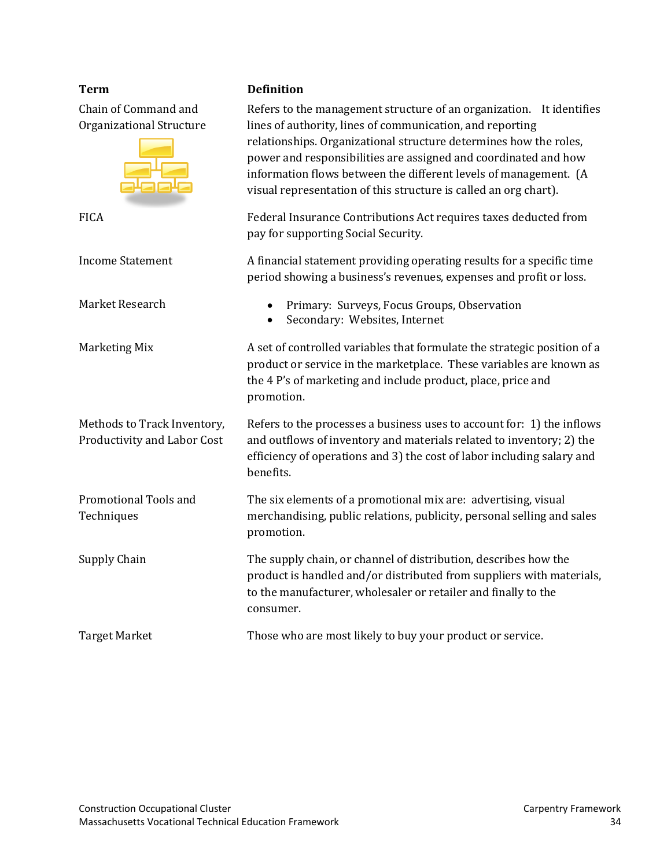Chain of Command and Organizational Structure



Methods to Track Inventory, Productivity and Labor Cost

Promotional Tools and **Techniques** 

#### **Term Definition**

Refers to the management structure of an organization. It identifies lines of authority, lines of communication, and reporting relationships. Organizational structure determines how the roles, power and responsibilities are assigned and coordinated and how information flows between the different levels of management. (A visual representation of this structure is called an org chart). FICA Federal Insurance Contributions Act requires taxes deducted from pay for supporting Social Security. Income Statement A financial statement providing operating results for a specific time period showing a business's revenues, expenses and profit or loss. Market Research • Primary: Surveys, Focus Groups, Observation • Secondary: Websites, Internet Marketing Mix **A** set of controlled variables that formulate the strategic position of a product or service in the marketplace. These variables are known as the 4 P's of marketing and include product, place, price and promotion. Refers to the processes a business uses to account for: 1) the inflows and outflows of inventory and materials related to inventory; 2) the efficiency of operations and 3) the cost of labor including salary and benefits. The six elements of a promotional mix are: advertising, visual merchandising, public relations, publicity, personal selling and sales promotion. Supply Chain The supply chain, or channel of distribution, describes how the product is handled and/or distributed from suppliers with materials,

Target Market Those who are most likely to buy your product or service.

consumer.

to the manufacturer, wholesaler or retailer and finally to the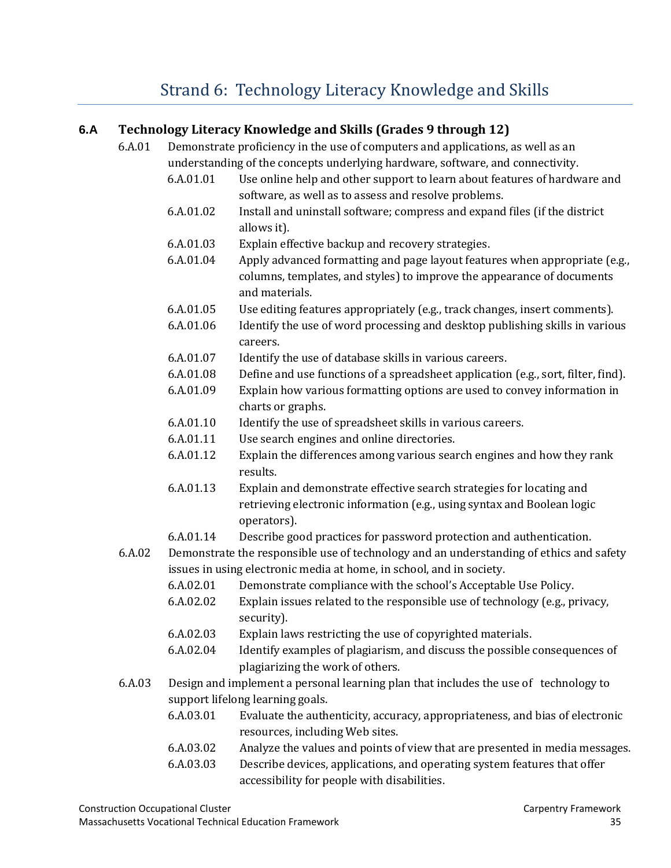# [Strand 6: Technology Literacy Knowledge and Skills](#page-2-0)

#### <span id="page-36-0"></span>**6.A Technology Literacy Knowledge and Skills (Grades 9 through 12)**

- 6.A.01 Demonstrate proficiency in the use of computers and applications, as well as an understanding of the concepts underlying hardware, software, and connectivity.
	- 6.A.01.01 Use online help and other support to learn about features of hardware and software, as well as to assess and resolve problems.
	- 6.A.01.02 Install and uninstall software; compress and expand files (if the district allows it).
	- 6.A.01.03 Explain effective backup and recovery strategies.
	- 6.A.01.04 Apply advanced formatting and page layout features when appropriate (e.g., columns, templates, and styles) to improve the appearance of documents and materials.
	- 6.A.01.05 Use editing features appropriately (e.g., track changes, insert comments).
	- 6.A.01.06 Identify the use of word processing and desktop publishing skills in various careers.
	- 6.A.01.07 Identify the use of database skills in various careers.
	- 6.A.01.08 Define and use functions of a spreadsheet application (e.g., sort, filter, find).
	- 6.A.01.09 Explain how various formatting options are used to convey information in charts or graphs.
	- 6.A.01.10 Identify the use of spreadsheet skills in various careers.
	- 6.A.01.11 Use search engines and online directories.
	- 6.A.01.12 Explain the differences among various search engines and how they rank results.
	- 6.A.01.13 Explain and demonstrate effective search strategies for locating and retrieving electronic information (e.g., using syntax and Boolean logic operators).
	- 6.A.01.14 Describe good practices for password protection and authentication.
- 6.A.02 Demonstrate the responsible use of technology and an understanding of ethics and safety issues in using electronic media at home, in school, and in society.
	- 6.A.02.01 Demonstrate compliance with the school's Acceptable Use Policy.
	- 6.A.02.02 Explain issues related to the responsible use of technology (e.g., privacy, security).
	- 6.A.02.03 Explain laws restricting the use of copyrighted materials.
	- 6.A.02.04 Identify examples of plagiarism, and discuss the possible consequences of plagiarizing the work of others.
- 6.A.03 Design and implement a personal learning plan that includes the use of technology to support lifelong learning goals.
	- 6.A.03.01 Evaluate the authenticity, accuracy, appropriateness, and bias of electronic resources, including Web sites.
	- 6.A.03.02 Analyze the values and points of view that are presented in media messages.
	- 6.A.03.03 Describe devices, applications, and operating system features that offer accessibility for people with disabilities.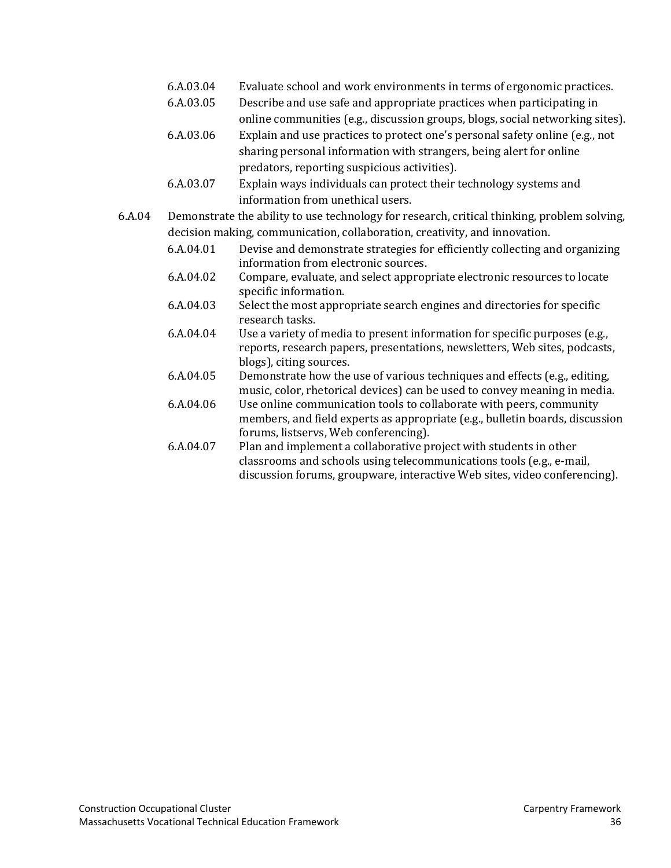- 6.A.03.04 Evaluate school and work environments in terms of ergonomic practices.
- 6.A.03.05 Describe and use safe and appropriate practices when participating in online communities (e.g., discussion groups, blogs, social networking sites).
- 6.A.03.06 Explain and use practices to protect one's personal safety online (e.g., not sharing personal information with strangers, being alert for online predators, reporting suspicious activities).
- 6.A.03.07 Explain ways individuals can protect their technology systems and information from unethical users.
- 6.A.04 Demonstrate the ability to use technology for research, critical thinking, problem solving, decision making, communication, collaboration, creativity, and innovation.
	- 6.A.04.01 Devise and demonstrate strategies for efficiently collecting and organizing information from electronic sources.
	- 6.A.04.02 Compare, evaluate, and select appropriate electronic resources to locate specific information.
	- 6.A.04.03 Select the most appropriate search engines and directories for specific research tasks.
	- 6.A.04.04 Use a variety of media to present information for specific purposes (e.g., reports, research papers, presentations, newsletters, Web sites, podcasts, blogs), citing sources.
	- 6.A.04.05 Demonstrate how the use of various techniques and effects (e.g., editing, music, color, rhetorical devices) can be used to convey meaning in media.
	- 6.A.04.06 Use online communication tools to collaborate with peers, community members, and field experts as appropriate (e.g., bulletin boards, discussion forums, listservs, Web conferencing).
	- 6.A.04.07 Plan and implement a collaborative project with students in other classrooms and schools using telecommunications tools (e.g., e-mail, discussion forums, groupware, interactive Web sites, video conferencing).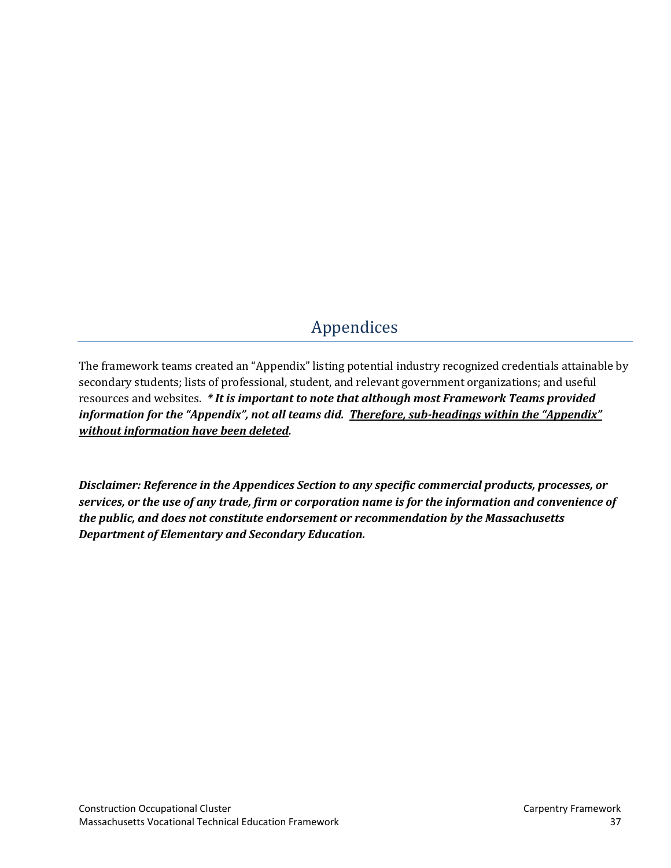# [Appendices](#page-2-0)

<span id="page-38-0"></span>The framework teams created an "Appendix" listing potential industry recognized credentials attainable by secondary students; lists of professional, student, and relevant government organizations; and useful resources and websites. *\* It is important to note that although most Framework Teams provided information for the "Appendix", not all teams did. Therefore, sub-headings within the "Appendix" without information have been deleted.*

*Disclaimer: Reference in the Appendices Section to any specific commercial products, processes, or services, or the use of any trade, firm or corporation name is for the information and convenience of the public, and does not constitute endorsement or recommendation by the Massachusetts Department of Elementary and Secondary Education.*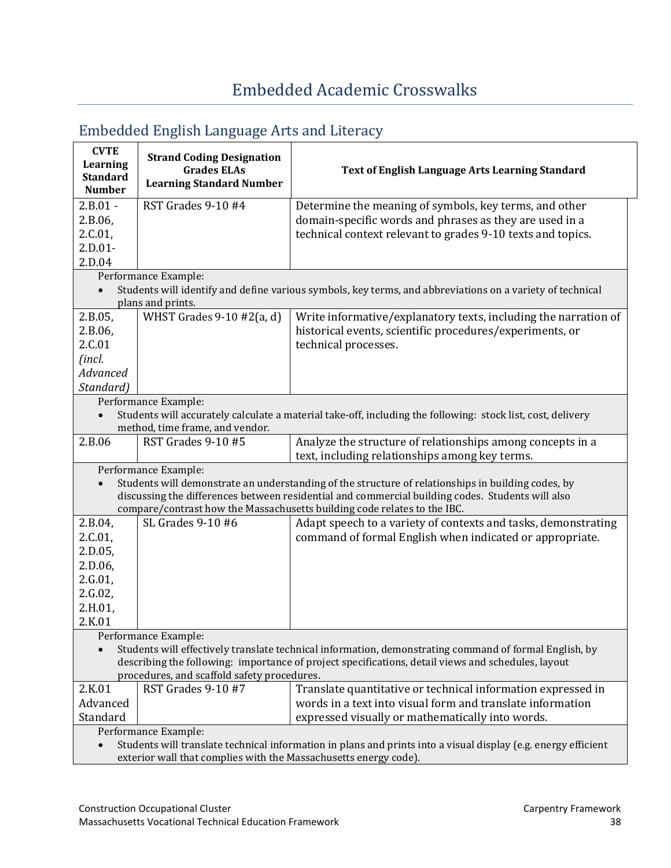| <b>CVTE</b><br>Learning<br><b>Standard</b><br><b>Number</b>                                                    | <b>Strand Coding Designation</b><br><b>Grades ELAs</b><br><b>Learning Standard Number</b> | Text of English Language Arts Learning Standard                                                                                                                              |
|----------------------------------------------------------------------------------------------------------------|-------------------------------------------------------------------------------------------|------------------------------------------------------------------------------------------------------------------------------------------------------------------------------|
| $2.B.01 -$                                                                                                     | RST Grades 9-10 #4                                                                        | Determine the meaning of symbols, key terms, and other                                                                                                                       |
| 2.B.06,                                                                                                        |                                                                                           | domain-specific words and phrases as they are used in a                                                                                                                      |
| 2.C.01,                                                                                                        |                                                                                           | technical context relevant to grades 9-10 texts and topics.                                                                                                                  |
| $2.D.01-$                                                                                                      |                                                                                           |                                                                                                                                                                              |
| 2.D.04                                                                                                         |                                                                                           |                                                                                                                                                                              |
|                                                                                                                | Performance Example:                                                                      |                                                                                                                                                                              |
|                                                                                                                | plans and prints.                                                                         | Students will identify and define various symbols, key terms, and abbreviations on a variety of technical                                                                    |
| 2.B.05,                                                                                                        | WHST Grades $9-10 \#2(a, d)$                                                              | Write informative/explanatory texts, including the narration of                                                                                                              |
| 2.B.06,                                                                                                        |                                                                                           | historical events, scientific procedures/experiments, or                                                                                                                     |
| 2.C.01                                                                                                         |                                                                                           | technical processes.                                                                                                                                                         |
| (incl.                                                                                                         |                                                                                           |                                                                                                                                                                              |
| Advanced                                                                                                       |                                                                                           |                                                                                                                                                                              |
| Standard)                                                                                                      |                                                                                           |                                                                                                                                                                              |
|                                                                                                                |                                                                                           |                                                                                                                                                                              |
|                                                                                                                | Performance Example:                                                                      | Students will accurately calculate a material take-off, including the following: stock list, cost, delivery                                                                  |
|                                                                                                                | method, time frame, and vendor.                                                           |                                                                                                                                                                              |
| 2.B.06                                                                                                         | RST Grades 9-10 #5                                                                        | Analyze the structure of relationships among concepts in a                                                                                                                   |
|                                                                                                                |                                                                                           | text, including relationships among key terms.                                                                                                                               |
|                                                                                                                | Performance Example:                                                                      |                                                                                                                                                                              |
|                                                                                                                |                                                                                           | Students will demonstrate an understanding of the structure of relationships in building codes, by                                                                           |
|                                                                                                                |                                                                                           | discussing the differences between residential and commercial building codes. Students will also<br>compare/contrast how the Massachusetts building code relates to the IBC. |
|                                                                                                                | SL Grades 9-10 #6                                                                         |                                                                                                                                                                              |
| 2.B.04,                                                                                                        |                                                                                           | Adapt speech to a variety of contexts and tasks, demonstrating                                                                                                               |
| 2.C.01,                                                                                                        |                                                                                           | command of formal English when indicated or appropriate.                                                                                                                     |
| 2.D.05,                                                                                                        |                                                                                           |                                                                                                                                                                              |
| 2.D.06,                                                                                                        |                                                                                           |                                                                                                                                                                              |
| 2.G.01,                                                                                                        |                                                                                           |                                                                                                                                                                              |
| 2.G.02,                                                                                                        |                                                                                           |                                                                                                                                                                              |
| 2.H.01,                                                                                                        |                                                                                           |                                                                                                                                                                              |
| 2.K.01                                                                                                         |                                                                                           |                                                                                                                                                                              |
|                                                                                                                | Performance Example:                                                                      |                                                                                                                                                                              |
|                                                                                                                |                                                                                           | Students will effectively translate technical information, demonstrating command of formal English, by                                                                       |
| describing the following: importance of project specifications, detail views and schedules, layout             |                                                                                           |                                                                                                                                                                              |
|                                                                                                                | procedures, and scaffold safety procedures.                                               |                                                                                                                                                                              |
| 2.K.01                                                                                                         | RST Grades 9-10 #7                                                                        | Translate quantitative or technical information expressed in                                                                                                                 |
| Advanced                                                                                                       |                                                                                           | words in a text into visual form and translate information                                                                                                                   |
| Standard                                                                                                       |                                                                                           | expressed visually or mathematically into words.                                                                                                                             |
| Performance Example:                                                                                           |                                                                                           |                                                                                                                                                                              |
| Students will translate technical information in plans and prints into a visual display (e.g. energy efficient |                                                                                           |                                                                                                                                                                              |
| exterior wall that complies with the Massachusetts energy code).                                               |                                                                                           |                                                                                                                                                                              |

# <span id="page-39-1"></span><span id="page-39-0"></span>Embedded English Language Arts and Literacy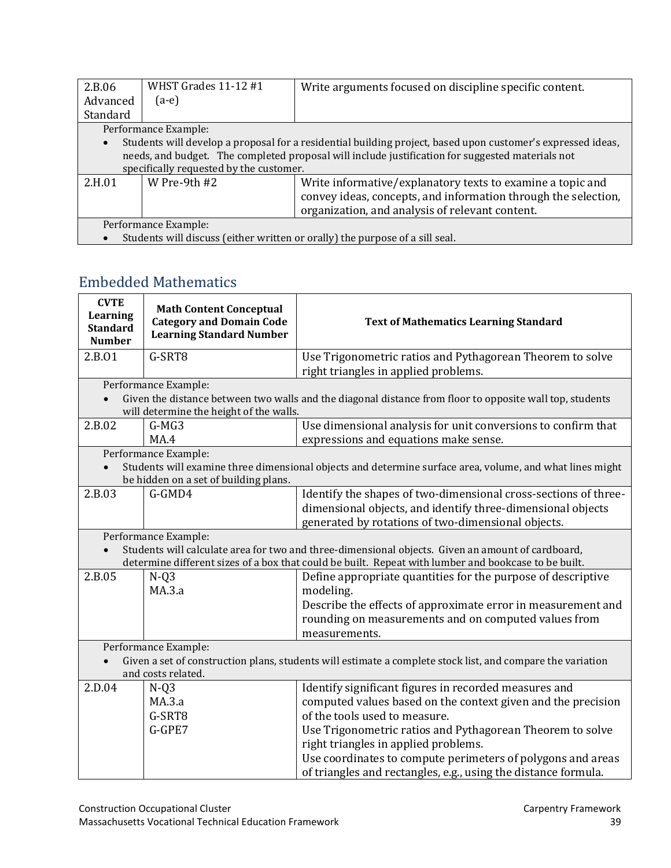| 2.B.06                                                                       | WHST Grades 11-12 #1                    | Write arguments focused on discipline specific content.                                                     |  |  |
|------------------------------------------------------------------------------|-----------------------------------------|-------------------------------------------------------------------------------------------------------------|--|--|
| Advanced                                                                     | $(a-e)$                                 |                                                                                                             |  |  |
| Standard                                                                     |                                         |                                                                                                             |  |  |
|                                                                              | Performance Example:                    |                                                                                                             |  |  |
|                                                                              |                                         | Students will develop a proposal for a residential building project, based upon customer's expressed ideas, |  |  |
|                                                                              |                                         | needs, and budget. The completed proposal will include justification for suggested materials not            |  |  |
|                                                                              | specifically requested by the customer. |                                                                                                             |  |  |
| 2.H.01                                                                       | W Pre-9th $#2$                          | Write informative/explanatory texts to examine a topic and                                                  |  |  |
|                                                                              |                                         | convey ideas, concepts, and information through the selection,                                              |  |  |
| organization, and analysis of relevant content.                              |                                         |                                                                                                             |  |  |
| Performance Example:                                                         |                                         |                                                                                                             |  |  |
| Students will discuss (either written or orally) the purpose of a sill seal. |                                         |                                                                                                             |  |  |

## <span id="page-40-0"></span>Embedded [Mathematics](#page-2-0)

| <b>CVTE</b><br>Learning<br><b>Standard</b><br><b>Number</b>                                                                                                                                                                       | <b>Math Content Conceptual</b><br><b>Category and Domain Code</b><br><b>Learning Standard Number</b> | <b>Text of Mathematics Learning Standard</b>                                                                                                                                                                                                                                                                                                                                                 |
|-----------------------------------------------------------------------------------------------------------------------------------------------------------------------------------------------------------------------------------|------------------------------------------------------------------------------------------------------|----------------------------------------------------------------------------------------------------------------------------------------------------------------------------------------------------------------------------------------------------------------------------------------------------------------------------------------------------------------------------------------------|
| 2.B.01                                                                                                                                                                                                                            | G-SRT8                                                                                               | Use Trigonometric ratios and Pythagorean Theorem to solve<br>right triangles in applied problems.                                                                                                                                                                                                                                                                                            |
|                                                                                                                                                                                                                                   | Performance Example:<br>will determine the height of the walls.                                      | Given the distance between two walls and the diagonal distance from floor to opposite wall top, students                                                                                                                                                                                                                                                                                     |
| 2.B.02                                                                                                                                                                                                                            | $G-MG3$<br>MA.4                                                                                      | Use dimensional analysis for unit conversions to confirm that<br>expressions and equations make sense.                                                                                                                                                                                                                                                                                       |
|                                                                                                                                                                                                                                   | Performance Example:<br>be hidden on a set of building plans.                                        | Students will examine three dimensional objects and determine surface area, volume, and what lines might                                                                                                                                                                                                                                                                                     |
| 2.B.03                                                                                                                                                                                                                            | G-GMD4                                                                                               | Identify the shapes of two-dimensional cross-sections of three-<br>dimensional objects, and identify three-dimensional objects<br>generated by rotations of two-dimensional objects.                                                                                                                                                                                                         |
| Performance Example:<br>Students will calculate area for two and three-dimensional objects. Given an amount of cardboard,<br>determine different sizes of a box that could be built. Repeat with lumber and bookcase to be built. |                                                                                                      |                                                                                                                                                                                                                                                                                                                                                                                              |
| 2.B.05                                                                                                                                                                                                                            | $N-Q3$<br>MA.3.a                                                                                     | Define appropriate quantities for the purpose of descriptive<br>modeling.<br>Describe the effects of approximate error in measurement and<br>rounding on measurements and on computed values from<br>measurements.                                                                                                                                                                           |
| Performance Example:<br>Given a set of construction plans, students will estimate a complete stock list, and compare the variation<br>and costs related.                                                                          |                                                                                                      |                                                                                                                                                                                                                                                                                                                                                                                              |
| 2.D.04                                                                                                                                                                                                                            | $N-Q3$<br>MA.3.a<br>G-SRT8<br>G-GPE7                                                                 | Identify significant figures in recorded measures and<br>computed values based on the context given and the precision<br>of the tools used to measure.<br>Use Trigonometric ratios and Pythagorean Theorem to solve<br>right triangles in applied problems.<br>Use coordinates to compute perimeters of polygons and areas<br>of triangles and rectangles, e.g., using the distance formula. |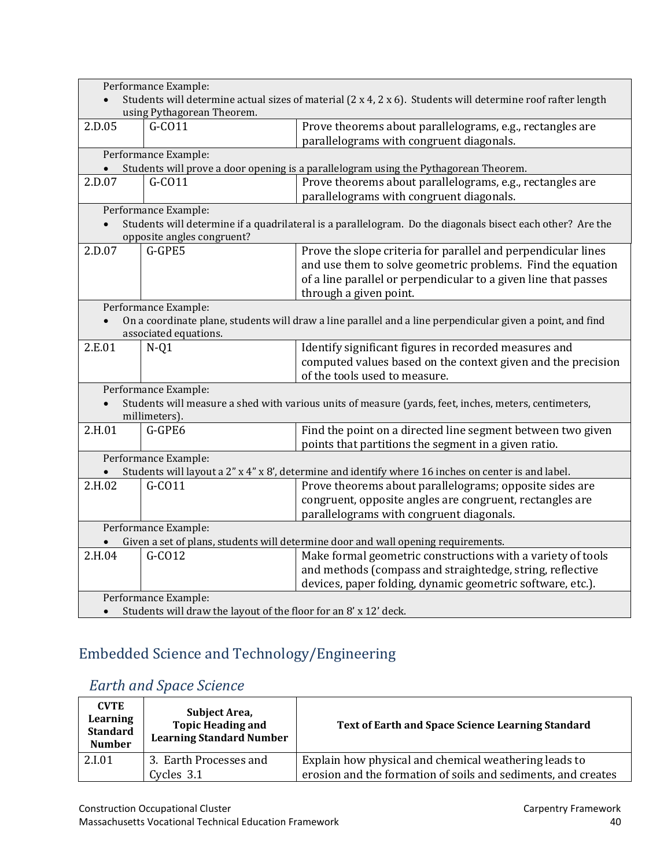| Performance Example:<br>Students will determine actual sizes of material (2 x 4, 2 x 6). Students will determine roof rafter length |                            |                                                                                                            |
|-------------------------------------------------------------------------------------------------------------------------------------|----------------------------|------------------------------------------------------------------------------------------------------------|
| using Pythagorean Theorem.                                                                                                          |                            |                                                                                                            |
| 2.D.05                                                                                                                              | $G-CO11$                   | Prove theorems about parallelograms, e.g., rectangles are<br>parallelograms with congruent diagonals.      |
|                                                                                                                                     | Performance Example:       |                                                                                                            |
|                                                                                                                                     |                            | Students will prove a door opening is a parallelogram using the Pythagorean Theorem.                       |
| 2.D.07                                                                                                                              | $G-CO11$                   | Prove theorems about parallelograms, e.g., rectangles are<br>parallelograms with congruent diagonals.      |
|                                                                                                                                     | Performance Example:       |                                                                                                            |
|                                                                                                                                     | opposite angles congruent? | Students will determine if a quadrilateral is a parallelogram. Do the diagonals bisect each other? Are the |
| 2.D.07                                                                                                                              | G-GPE5                     | Prove the slope criteria for parallel and perpendicular lines                                              |
|                                                                                                                                     |                            | and use them to solve geometric problems. Find the equation                                                |
|                                                                                                                                     |                            | of a line parallel or perpendicular to a given line that passes                                            |
|                                                                                                                                     |                            | through a given point.                                                                                     |
|                                                                                                                                     | Performance Example:       |                                                                                                            |
|                                                                                                                                     | associated equations.      | On a coordinate plane, students will draw a line parallel and a line perpendicular given a point, and find |
| 2.E.01                                                                                                                              | $N-Q1$                     | Identify significant figures in recorded measures and                                                      |
|                                                                                                                                     |                            | computed values based on the context given and the precision<br>of the tools used to measure.              |
|                                                                                                                                     | Performance Example:       |                                                                                                            |
|                                                                                                                                     | millimeters).              | Students will measure a shed with various units of measure (yards, feet, inches, meters, centimeters,      |
| 2.H.01                                                                                                                              | G-GPE6                     | Find the point on a directed line segment between two given                                                |
|                                                                                                                                     | Performance Example:       | points that partitions the segment in a given ratio.                                                       |
|                                                                                                                                     |                            | Students will layout a 2" x 4" x 8', determine and identify where 16 inches on center is and label.        |
| 2.H.02                                                                                                                              | G-C011                     | Prove theorems about parallelograms; opposite sides are                                                    |
|                                                                                                                                     |                            | congruent, opposite angles are congruent, rectangles are                                                   |
|                                                                                                                                     |                            | parallelograms with congruent diagonals.                                                                   |
|                                                                                                                                     | Performance Example:       |                                                                                                            |
| Given a set of plans, students will determine door and wall opening requirements.                                                   |                            |                                                                                                            |
| 2.H.04                                                                                                                              | $G-CO12$                   | Make formal geometric constructions with a variety of tools                                                |
|                                                                                                                                     |                            | and methods (compass and straightedge, string, reflective                                                  |
|                                                                                                                                     |                            | devices, paper folding, dynamic geometric software, etc.).                                                 |
| Performance Example:                                                                                                                |                            |                                                                                                            |
| Students will draw the layout of the floor for an 8' x 12' deck.                                                                    |                            |                                                                                                            |

# <span id="page-41-0"></span>Embedded [Science and Technology/Engineering](#page-2-0)

# <span id="page-41-1"></span> *[Earth and Space Science](#page-2-0)*

| <b>CVTE</b><br>Learning<br><b>Standard</b><br><b>Number</b> | Subject Area,<br><b>Topic Heading and</b><br><b>Learning Standard Number</b> | <b>Text of Earth and Space Science Learning Standard</b>                                                               |
|-------------------------------------------------------------|------------------------------------------------------------------------------|------------------------------------------------------------------------------------------------------------------------|
| 2.I.01                                                      | 3. Earth Processes and<br>Cycles 3.1                                         | Explain how physical and chemical weathering leads to<br>erosion and the formation of soils and sediments, and creates |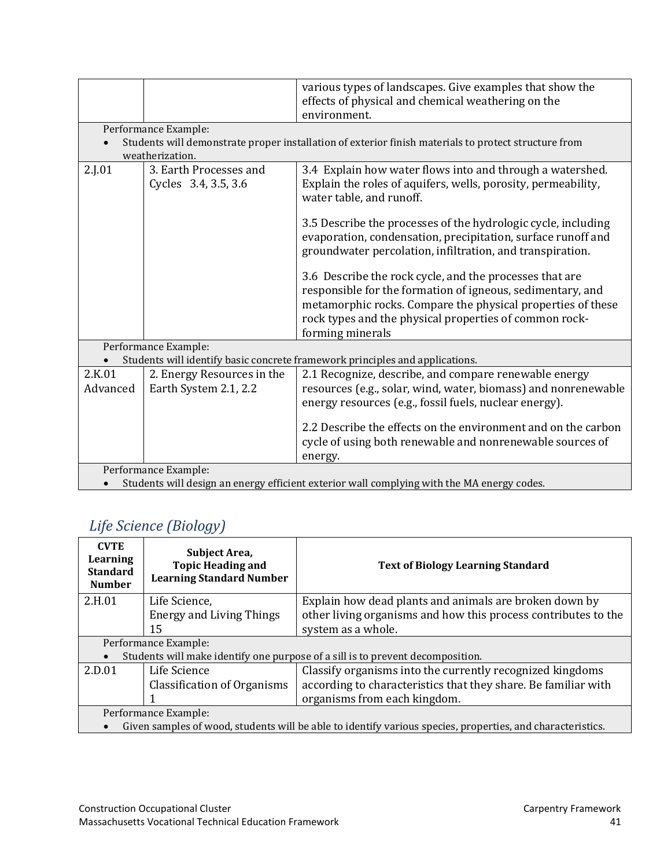|                                                                                            |                                                                              | various types of landscapes. Give examples that show the                                                                                                                                                                                                           |  |
|--------------------------------------------------------------------------------------------|------------------------------------------------------------------------------|--------------------------------------------------------------------------------------------------------------------------------------------------------------------------------------------------------------------------------------------------------------------|--|
|                                                                                            |                                                                              | effects of physical and chemical weathering on the                                                                                                                                                                                                                 |  |
|                                                                                            |                                                                              | environment.                                                                                                                                                                                                                                                       |  |
|                                                                                            | Performance Example:                                                         |                                                                                                                                                                                                                                                                    |  |
|                                                                                            |                                                                              | Students will demonstrate proper installation of exterior finish materials to protect structure from                                                                                                                                                               |  |
|                                                                                            | weatherization.                                                              |                                                                                                                                                                                                                                                                    |  |
| 2.J.01                                                                                     | 3. Earth Processes and                                                       | 3.4 Explain how water flows into and through a watershed.                                                                                                                                                                                                          |  |
|                                                                                            | Cycles 3.4, 3.5, 3.6                                                         | Explain the roles of aquifers, wells, porosity, permeability,<br>water table, and runoff.                                                                                                                                                                          |  |
|                                                                                            |                                                                              | 3.5 Describe the processes of the hydrologic cycle, including<br>evaporation, condensation, precipitation, surface runoff and<br>groundwater percolation, infiltration, and transpiration.                                                                         |  |
|                                                                                            |                                                                              | 3.6 Describe the rock cycle, and the processes that are<br>responsible for the formation of igneous, sedimentary, and<br>metamorphic rocks. Compare the physical properties of these<br>rock types and the physical properties of common rock-<br>forming minerals |  |
|                                                                                            | Performance Example:                                                         |                                                                                                                                                                                                                                                                    |  |
|                                                                                            | Students will identify basic concrete framework principles and applications. |                                                                                                                                                                                                                                                                    |  |
| 2.K.01                                                                                     | 2. Energy Resources in the                                                   | 2.1 Recognize, describe, and compare renewable energy                                                                                                                                                                                                              |  |
| Advanced                                                                                   | Earth System 2.1, 2.2                                                        | resources (e.g., solar, wind, water, biomass) and nonrenewable<br>energy resources (e.g., fossil fuels, nuclear energy).                                                                                                                                           |  |
|                                                                                            |                                                                              | 2.2 Describe the effects on the environment and on the carbon                                                                                                                                                                                                      |  |
|                                                                                            |                                                                              | cycle of using both renewable and nonrenewable sources of                                                                                                                                                                                                          |  |
|                                                                                            |                                                                              | energy.                                                                                                                                                                                                                                                            |  |
|                                                                                            | Performance Example:                                                         |                                                                                                                                                                                                                                                                    |  |
| Students will design an energy efficient exterior wall complying with the MA energy codes. |                                                                              |                                                                                                                                                                                                                                                                    |  |

# <span id="page-42-0"></span> *[Life Science \(Biology\)](#page-2-0)*

| <b>CVTE</b><br>Learning<br><b>Standard</b><br><b>Number</b>                                                | Subject Area,<br><b>Topic Heading and</b><br><b>Learning Standard Number</b> | <b>Text of Biology Learning Standard</b>                                       |
|------------------------------------------------------------------------------------------------------------|------------------------------------------------------------------------------|--------------------------------------------------------------------------------|
| 2.H.01                                                                                                     | Life Science,                                                                | Explain how dead plants and animals are broken down by                         |
|                                                                                                            | <b>Energy and Living Things</b>                                              | other living organisms and how this process contributes to the                 |
|                                                                                                            | 15                                                                           | system as a whole.                                                             |
|                                                                                                            | Performance Example:                                                         |                                                                                |
|                                                                                                            |                                                                              | Students will make identify one purpose of a sill is to prevent decomposition. |
| 2.D.01                                                                                                     | Life Science                                                                 | Classify organisms into the currently recognized kingdoms                      |
|                                                                                                            | Classification of Organisms                                                  | according to characteristics that they share. Be familiar with                 |
|                                                                                                            |                                                                              | organisms from each kingdom.                                                   |
| Performance Example:                                                                                       |                                                                              |                                                                                |
| Given samples of wood, students will be able to identify various species, properties, and characteristics. |                                                                              |                                                                                |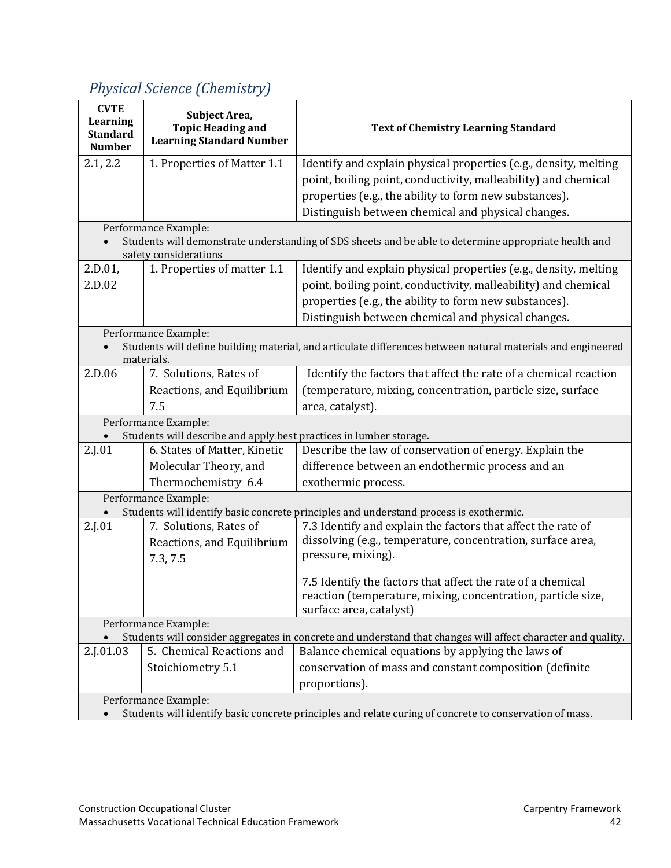# <span id="page-43-0"></span> *Physical [Science \(Chemistry\)](#page-2-0)*

| <b>CVTE</b><br>Learning<br><b>Standard</b><br><b>Number</b>                                                                     | Subject Area,<br><b>Topic Heading and</b><br><b>Learning Standard Number</b>               | <b>Text of Chemistry Learning Standard</b>                                                                   |  |  |
|---------------------------------------------------------------------------------------------------------------------------------|--------------------------------------------------------------------------------------------|--------------------------------------------------------------------------------------------------------------|--|--|
| 2.1, 2.2                                                                                                                        | 1. Properties of Matter 1.1                                                                | Identify and explain physical properties (e.g., density, melting                                             |  |  |
|                                                                                                                                 |                                                                                            | point, boiling point, conductivity, malleability) and chemical                                               |  |  |
|                                                                                                                                 |                                                                                            | properties (e.g., the ability to form new substances).                                                       |  |  |
|                                                                                                                                 |                                                                                            | Distinguish between chemical and physical changes.                                                           |  |  |
|                                                                                                                                 | Performance Example:                                                                       |                                                                                                              |  |  |
| Students will demonstrate understanding of SDS sheets and be able to determine appropriate health and<br>safety considerations  |                                                                                            |                                                                                                              |  |  |
| 2.D.01,                                                                                                                         | 1. Properties of matter 1.1                                                                | Identify and explain physical properties (e.g., density, melting                                             |  |  |
| 2.D.02                                                                                                                          |                                                                                            | point, boiling point, conductivity, malleability) and chemical                                               |  |  |
|                                                                                                                                 |                                                                                            | properties (e.g., the ability to form new substances).                                                       |  |  |
|                                                                                                                                 |                                                                                            | Distinguish between chemical and physical changes.                                                           |  |  |
|                                                                                                                                 | Performance Example:                                                                       |                                                                                                              |  |  |
|                                                                                                                                 | materials.                                                                                 | Students will define building material, and articulate differences between natural materials and engineered  |  |  |
| 2.D.06                                                                                                                          | 7. Solutions, Rates of                                                                     | Identify the factors that affect the rate of a chemical reaction                                             |  |  |
|                                                                                                                                 | Reactions, and Equilibrium                                                                 | (temperature, mixing, concentration, particle size, surface                                                  |  |  |
|                                                                                                                                 | 7.5                                                                                        | area, catalyst).                                                                                             |  |  |
|                                                                                                                                 | Performance Example:<br>Students will describe and apply best practices in lumber storage. |                                                                                                              |  |  |
| 2.J.01                                                                                                                          | 6. States of Matter, Kinetic                                                               | Describe the law of conservation of energy. Explain the                                                      |  |  |
|                                                                                                                                 | Molecular Theory, and                                                                      | difference between an endothermic process and an                                                             |  |  |
|                                                                                                                                 | Thermochemistry 6.4                                                                        | exothermic process.                                                                                          |  |  |
|                                                                                                                                 | Performance Example:                                                                       |                                                                                                              |  |  |
|                                                                                                                                 |                                                                                            | Students will identify basic concrete principles and understand process is exothermic.                       |  |  |
| 2.J.01                                                                                                                          | 7. Solutions, Rates of                                                                     | 7.3 Identify and explain the factors that affect the rate of                                                 |  |  |
|                                                                                                                                 | Reactions, and Equilibrium                                                                 | dissolving (e.g., temperature, concentration, surface area,                                                  |  |  |
|                                                                                                                                 | 7.3, 7.5                                                                                   | pressure, mixing).                                                                                           |  |  |
|                                                                                                                                 |                                                                                            | 7.5 Identify the factors that affect the rate of a chemical                                                  |  |  |
|                                                                                                                                 |                                                                                            | reaction (temperature, mixing, concentration, particle size,                                                 |  |  |
|                                                                                                                                 |                                                                                            | surface area, catalyst)                                                                                      |  |  |
|                                                                                                                                 | Performance Example:                                                                       |                                                                                                              |  |  |
|                                                                                                                                 |                                                                                            | Students will consider aggregates in concrete and understand that changes will affect character and quality. |  |  |
| 2.J.01.03                                                                                                                       | 5. Chemical Reactions and                                                                  | Balance chemical equations by applying the laws of                                                           |  |  |
|                                                                                                                                 | Stoichiometry 5.1                                                                          | conservation of mass and constant composition (definite                                                      |  |  |
|                                                                                                                                 |                                                                                            | proportions).                                                                                                |  |  |
| Performance Example:<br>Students will identify basic concrete principles and relate curing of concrete to conservation of mass. |                                                                                            |                                                                                                              |  |  |
|                                                                                                                                 |                                                                                            |                                                                                                              |  |  |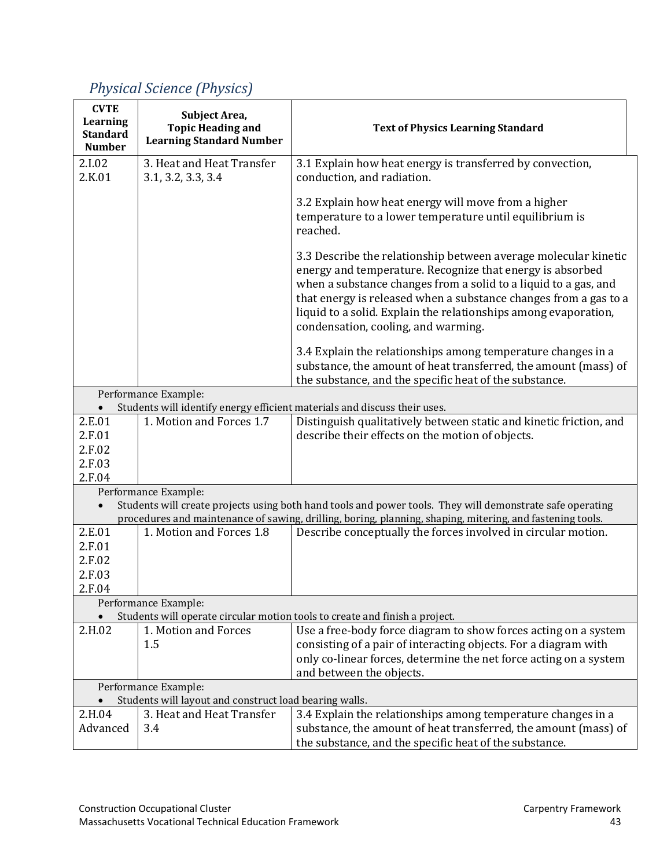#### **CVTE Learning Standard Number Subject Area, Topic Heading and Learning Standard Number Text of Physics Learning Standard** 2.I.02 2.K.01 3. Heat and Heat Transfer 3.1, 3.2, 3.3, 3.4 3.1 Explain how heat energy is transferred by convection, conduction, and radiation. 3.2 Explain how heat energy will move from a higher temperature to a lower temperature until equilibrium is reached. 3.3 Describe the relationship between average molecular kinetic energy and temperature. Recognize that energy is absorbed when a substance changes from a solid to a liquid to a gas, and that energy is released when a substance changes from a gas to a liquid to a solid. Explain the relationships among evaporation, condensation, cooling, and warming. 3.4 Explain the relationships among temperature changes in a substance, the amount of heat transferred, the amount (mass) of the substance, and the specific heat of the substance. Performance Example: • Students will identify energy efficient materials and discuss their uses.<br>01 1. Motion and Forces 1.7 Distinguish qualitatively betw 2.E.01 2.F.01 2.F.02 2.F.03 2.F.04 Distinguish qualitatively between static and kinetic friction, and describe their effects on the motion of objects. Performance Example: • Students will create projects using both hand tools and power tools. They will demonstrate safe operating procedures and maintenance of sawing, drilling, boring, planning, shaping, mitering, and fastening tools.<br>
1. Motion and Forces 1.8 Describe concentually the forces involved in circular motion 2.E.01 2.F.01 2.F.02 2.F.03 2.F.04 Describe conceptually the forces involved in circular motion. Performance Example: • Students will operate circular motion tools to create and finish a project.<br>
2.H.02 1. Motion and Forces Use a free-body force diagram t 1. Motion and Forces 1.5 Use a free-body force diagram to show forces acting on a system consisting of a pair of interacting objects. For a diagram with only co-linear forces, determine the net force acting on a system and between the objects. Performance Example: • Students will layout and construct load bearing walls. 2.H.04 Advanced 3. Heat and Heat Transfer 3.4 3.4 Explain the relationships among temperature changes in a substance, the amount of heat transferred, the amount (mass) of the substance, and the specific heat of the substance.

## <span id="page-44-0"></span> *Physical [Science \(Physics\)](#page-2-0)*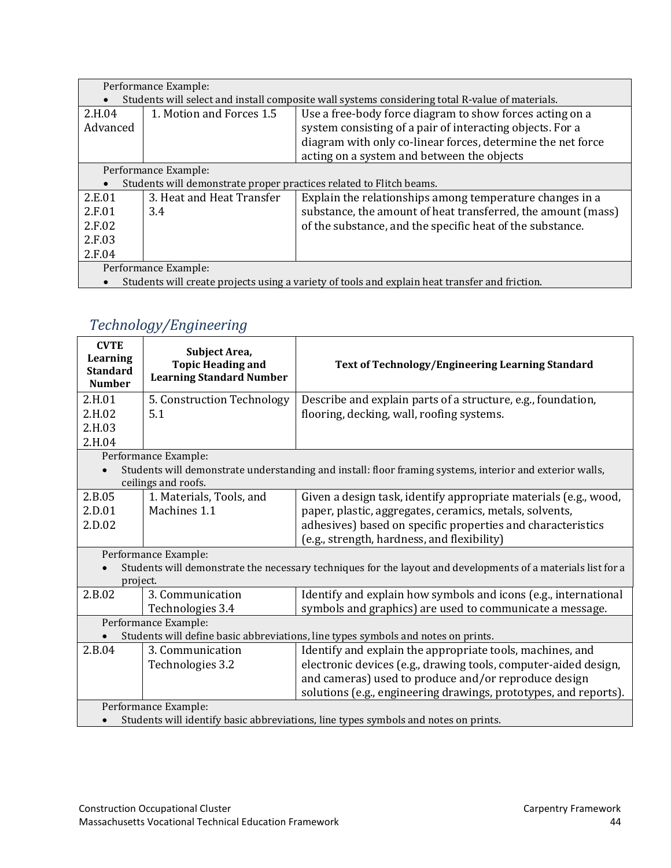| Performance Example:                                                                            |                           |                                                              |  |  |
|-------------------------------------------------------------------------------------------------|---------------------------|--------------------------------------------------------------|--|--|
| Students will select and install composite wall systems considering total R-value of materials. |                           |                                                              |  |  |
| 2.H.04                                                                                          | 1. Motion and Forces 1.5  | Use a free-body force diagram to show forces acting on a     |  |  |
| Advanced                                                                                        |                           | system consisting of a pair of interacting objects. For a    |  |  |
|                                                                                                 |                           | diagram with only co-linear forces, determine the net force  |  |  |
|                                                                                                 |                           | acting on a system and between the objects                   |  |  |
| Performance Example:                                                                            |                           |                                                              |  |  |
| Students will demonstrate proper practices related to Flitch beams.                             |                           |                                                              |  |  |
| 2.E.01                                                                                          | 3. Heat and Heat Transfer | Explain the relationships among temperature changes in a     |  |  |
| 2.F.01                                                                                          | 3.4                       | substance, the amount of heat transferred, the amount (mass) |  |  |
| 2.F.02                                                                                          |                           | of the substance, and the specific heat of the substance.    |  |  |
| 2.F.03                                                                                          |                           |                                                              |  |  |
| 2.F.04                                                                                          |                           |                                                              |  |  |
| Performance Example:                                                                            |                           |                                                              |  |  |
| Students will create projects using a variety of tools and explain heat transfer and friction.  |                           |                                                              |  |  |

# <span id="page-45-0"></span> *[Technology/Engineering](#page-2-0)*

| <b>CVTE</b><br>Learning<br><b>Standard</b><br><b>Number</b>                                              | Subject Area,<br><b>Topic Heading and</b><br><b>Learning Standard Number</b>        | Text of Technology/Engineering Learning Standard                                                             |  |  |  |
|----------------------------------------------------------------------------------------------------------|-------------------------------------------------------------------------------------|--------------------------------------------------------------------------------------------------------------|--|--|--|
| 2.H.01                                                                                                   | 5. Construction Technology                                                          | Describe and explain parts of a structure, e.g., foundation,                                                 |  |  |  |
| 2.H.02                                                                                                   | 5.1                                                                                 | flooring, decking, wall, roofing systems.                                                                    |  |  |  |
| 2.H.03                                                                                                   |                                                                                     |                                                                                                              |  |  |  |
| 2.H.04                                                                                                   |                                                                                     |                                                                                                              |  |  |  |
| Performance Example:                                                                                     |                                                                                     |                                                                                                              |  |  |  |
| Students will demonstrate understanding and install: floor framing systems, interior and exterior walls, |                                                                                     |                                                                                                              |  |  |  |
|                                                                                                          | ceilings and roofs.                                                                 |                                                                                                              |  |  |  |
| 2.B.05                                                                                                   | 1. Materials, Tools, and                                                            | Given a design task, identify appropriate materials (e.g., wood,                                             |  |  |  |
| 2.D.01                                                                                                   | Machines 1.1                                                                        | paper, plastic, aggregates, ceramics, metals, solvents,                                                      |  |  |  |
| 2.D.02                                                                                                   |                                                                                     | adhesives) based on specific properties and characteristics                                                  |  |  |  |
|                                                                                                          |                                                                                     | (e.g., strength, hardness, and flexibility)                                                                  |  |  |  |
|                                                                                                          | Performance Example:                                                                |                                                                                                              |  |  |  |
|                                                                                                          |                                                                                     | Students will demonstrate the necessary techniques for the layout and developments of a materials list for a |  |  |  |
| project.                                                                                                 |                                                                                     |                                                                                                              |  |  |  |
| 2.B.02                                                                                                   | 3. Communication                                                                    | Identify and explain how symbols and icons (e.g., international                                              |  |  |  |
|                                                                                                          | Technologies 3.4                                                                    | symbols and graphics) are used to communicate a message.                                                     |  |  |  |
|                                                                                                          | Performance Example:                                                                |                                                                                                              |  |  |  |
| Students will define basic abbreviations, line types symbols and notes on prints.                        |                                                                                     |                                                                                                              |  |  |  |
| 2.B.04                                                                                                   | 3. Communication                                                                    | Identify and explain the appropriate tools, machines, and                                                    |  |  |  |
|                                                                                                          | Technologies 3.2                                                                    | electronic devices (e.g., drawing tools, computer-aided design,                                              |  |  |  |
|                                                                                                          |                                                                                     | and cameras) used to produce and/or reproduce design                                                         |  |  |  |
|                                                                                                          |                                                                                     | solutions (e.g., engineering drawings, prototypes, and reports).                                             |  |  |  |
| Performance Example:                                                                                     |                                                                                     |                                                                                                              |  |  |  |
|                                                                                                          | Students will identify basic abbreviations, line types symbols and notes on prints. |                                                                                                              |  |  |  |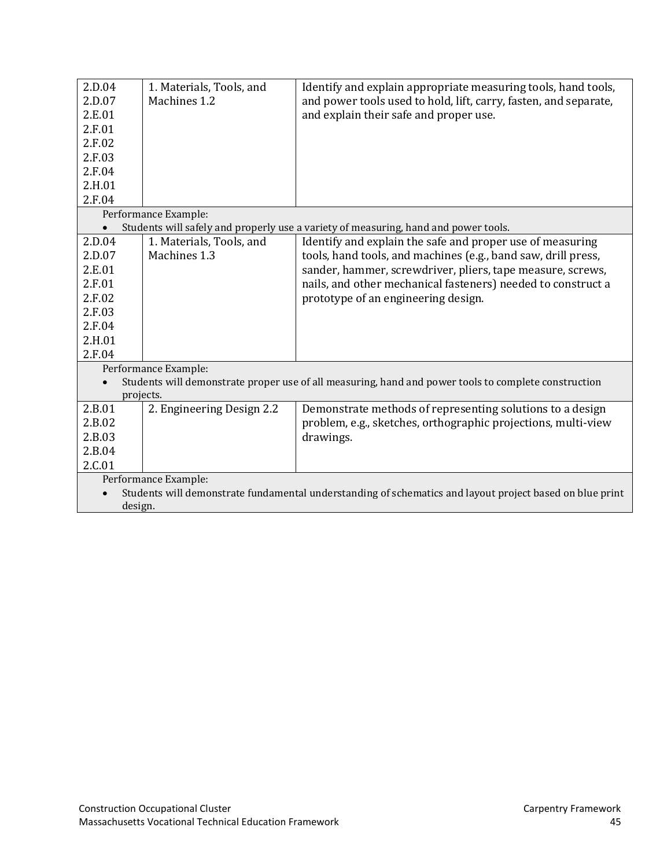| 2.D.04               | 1. Materials, Tools, and                                                                                 | Identify and explain appropriate measuring tools, hand tools,                                        |  |  |
|----------------------|----------------------------------------------------------------------------------------------------------|------------------------------------------------------------------------------------------------------|--|--|
| 2.D.07               | Machines 1.2                                                                                             | and power tools used to hold, lift, carry, fasten, and separate,                                     |  |  |
| 2.E.01               |                                                                                                          | and explain their safe and proper use.                                                               |  |  |
| 2.F.01               |                                                                                                          |                                                                                                      |  |  |
| 2.F.02               |                                                                                                          |                                                                                                      |  |  |
| 2.F.03               |                                                                                                          |                                                                                                      |  |  |
| 2.F.04               |                                                                                                          |                                                                                                      |  |  |
| 2.H.01               |                                                                                                          |                                                                                                      |  |  |
| 2.F.04               |                                                                                                          |                                                                                                      |  |  |
| Performance Example: |                                                                                                          |                                                                                                      |  |  |
|                      |                                                                                                          | Students will safely and properly use a variety of measuring, hand and power tools.                  |  |  |
| 2.D.04               | 1. Materials, Tools, and                                                                                 | Identify and explain the safe and proper use of measuring                                            |  |  |
| 2.D.07               | Machines 1.3                                                                                             | tools, hand tools, and machines (e.g., band saw, drill press,                                        |  |  |
| 2.E.01               |                                                                                                          | sander, hammer, screwdriver, pliers, tape measure, screws,                                           |  |  |
| 2.F.01               |                                                                                                          | nails, and other mechanical fasteners) needed to construct a                                         |  |  |
| 2.F.02               |                                                                                                          | prototype of an engineering design.                                                                  |  |  |
| 2.F.03               |                                                                                                          |                                                                                                      |  |  |
| 2.F.04               |                                                                                                          |                                                                                                      |  |  |
| 2.H.01               |                                                                                                          |                                                                                                      |  |  |
| 2.F.04               |                                                                                                          |                                                                                                      |  |  |
|                      | Performance Example:                                                                                     |                                                                                                      |  |  |
|                      |                                                                                                          | Students will demonstrate proper use of all measuring, hand and power tools to complete construction |  |  |
| projects.            |                                                                                                          |                                                                                                      |  |  |
| 2.B.01               | 2. Engineering Design 2.2                                                                                | Demonstrate methods of representing solutions to a design                                            |  |  |
| 2.B.02               |                                                                                                          | problem, e.g., sketches, orthographic projections, multi-view                                        |  |  |
| 2.B.03               |                                                                                                          | drawings.                                                                                            |  |  |
| 2.B.04               |                                                                                                          |                                                                                                      |  |  |
| 2.C.01               |                                                                                                          |                                                                                                      |  |  |
| Performance Example: |                                                                                                          |                                                                                                      |  |  |
|                      | Students will demonstrate fundamental understanding of schematics and layout project based on blue print |                                                                                                      |  |  |
| design.              |                                                                                                          |                                                                                                      |  |  |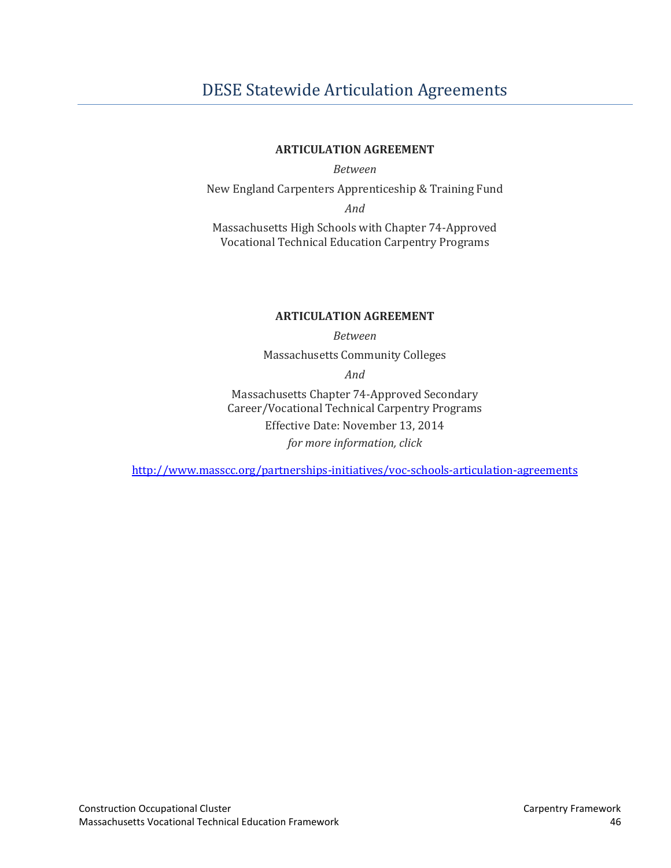# <span id="page-47-0"></span>[DESE Statewide Articulation Agreements](#page-2-0)

#### **ARTICULATION AGREEMENT**

*Between* 

New England Carpenters Apprenticeship & Training Fund

*And* 

Massachusetts High Schools with Chapter 74-Approved Vocational Technical Education Carpentry Programs

#### **ARTICULATION AGREEMENT**

*Between* 

Massachusetts Community Colleges

*And* 

Massachusetts Chapter 74-Approved Secondary Career/Vocational Technical Carpentry Programs Effective Date: November 13, 2014 *for more information, click*

<http://www.masscc.org/partnerships-initiatives/voc-schools-articulation-agreements>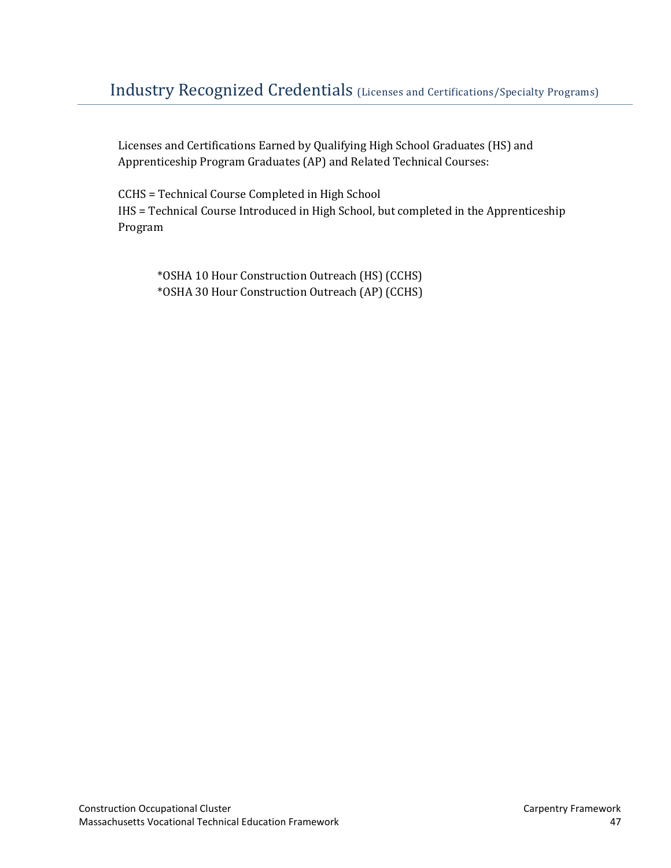# <span id="page-48-0"></span>[Industry Recognized Credentials](#page-2-0) (Licenses and Certifications/Specialty Programs)

Licenses and Certifications Earned by Qualifying High School Graduates (HS) and Apprenticeship Program Graduates (AP) and Related Technical Courses:

CCHS = Technical Course Completed in High School IHS = Technical Course Introduced in High School, but completed in the Apprenticeship Program

\*OSHA 10 Hour Construction Outreach (HS) (CCHS) \*OSHA 30 Hour Construction Outreach (AP) (CCHS)